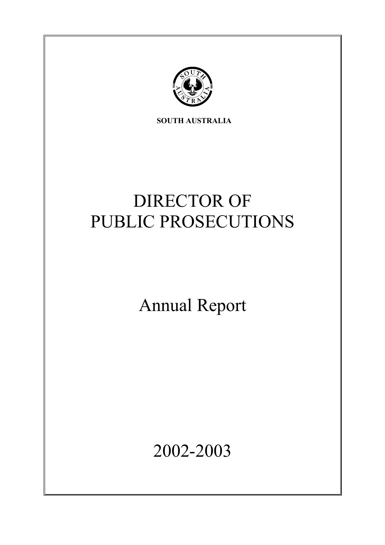

**SOUTH AUSTRALIA** 

# DIRECTOR OF PUBLIC PROSECUTIONS

Annual Report

2002-2003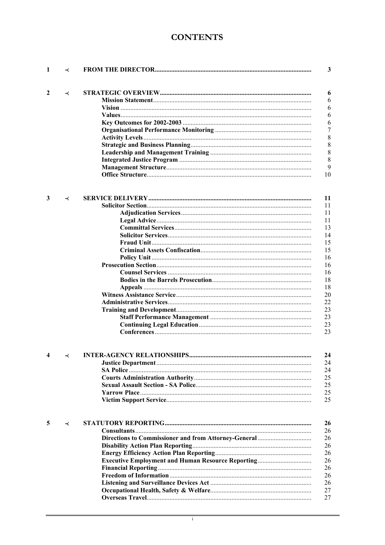# **CONTENTS**

| 1 | ≺ |                                                          | 3       |
|---|---|----------------------------------------------------------|---------|
| 2 | ≺ |                                                          | 6       |
|   |   |                                                          | 6       |
|   |   |                                                          | 6       |
|   |   |                                                          | 6       |
|   |   |                                                          |         |
|   |   |                                                          | 6       |
|   |   |                                                          | 7       |
|   |   |                                                          | $\,8\,$ |
|   |   |                                                          | $\,8\,$ |
|   |   |                                                          | 8       |
|   |   |                                                          | 8       |
|   |   |                                                          | 9       |
|   |   |                                                          | 10      |
|   |   |                                                          |         |
| 3 | ≺ |                                                          | 11      |
|   |   |                                                          | 11      |
|   |   |                                                          | 11      |
|   |   |                                                          | 11      |
|   |   |                                                          | 13      |
|   |   |                                                          | 14      |
|   |   |                                                          | 15      |
|   |   |                                                          | 15      |
|   |   |                                                          | 16      |
|   |   |                                                          | 16      |
|   |   |                                                          | 16      |
|   |   |                                                          | 18      |
|   |   |                                                          |         |
|   |   |                                                          | 18      |
|   |   |                                                          | 20      |
|   |   |                                                          | 22      |
|   |   |                                                          | 23      |
|   |   |                                                          | 23      |
|   |   |                                                          | 23      |
|   |   |                                                          | 23      |
|   |   |                                                          | 24      |
|   |   |                                                          | 24      |
|   |   |                                                          | 24      |
|   |   |                                                          |         |
|   |   |                                                          | 25      |
|   |   |                                                          | 25      |
|   |   |                                                          | 25      |
|   |   |                                                          | 25      |
| 5 | ≺ |                                                          | 26      |
|   |   |                                                          | 26      |
|   |   |                                                          | 26      |
|   |   |                                                          |         |
|   |   |                                                          | 26      |
|   |   |                                                          | 26      |
|   |   | <b>Executive Employment and Human Resource Reporting</b> | 26      |
|   |   |                                                          | 26      |
|   |   |                                                          | 26      |
|   |   |                                                          | 26      |
|   |   |                                                          | 27      |
|   |   |                                                          | 27      |
|   |   |                                                          |         |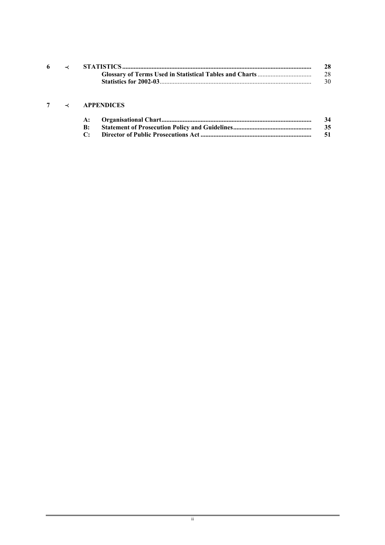|  | 28  |
|--|-----|
|  | 28  |
|  | 30. |
|  |     |

# **7** p **APPENDICES**

|  | 34  |
|--|-----|
|  | 35  |
|  | -51 |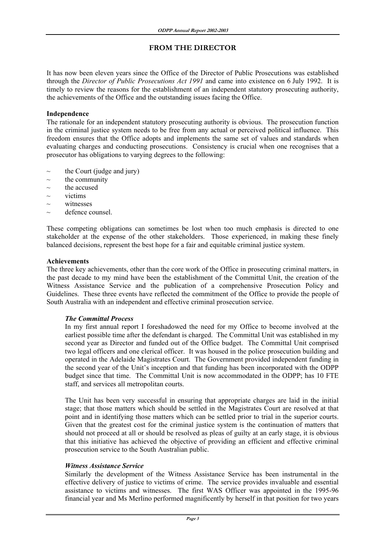# **FROM THE DIRECTOR**

It has now been eleven years since the Office of the Director of Public Prosecutions was established through the *Director of Public Prosecutions Act 1991* and came into existence on 6 July 1992. It is timely to review the reasons for the establishment of an independent statutory prosecuting authority, the achievements of the Office and the outstanding issues facing the Office.

#### **Independence**

The rationale for an independent statutory prosecuting authority is obvious. The prosecution function in the criminal justice system needs to be free from any actual or perceived political influence. This freedom ensures that the Office adopts and implements the same set of values and standards when evaluating charges and conducting prosecutions. Consistency is crucial when one recognises that a prosecutor has obligations to varying degrees to the following:

- the Court (judge and jury)
- $\sim$  the community
- $\sim$  the accused
- ~ victims
- $\sim$  witnesses
- $\sim$  defence counsel.

These competing obligations can sometimes be lost when too much emphasis is directed to one stakeholder at the expense of the other stakeholders. Those experienced, in making these finely balanced decisions, represent the best hope for a fair and equitable criminal justice system.

#### **Achievements**

The three key achievements, other than the core work of the Office in prosecuting criminal matters, in the past decade to my mind have been the establishment of the Committal Unit, the creation of the Witness Assistance Service and the publication of a comprehensive Prosecution Policy and Guidelines. These three events have reflected the commitment of the Office to provide the people of South Australia with an independent and effective criminal prosecution service.

#### *The Committal Process*

In my first annual report I foreshadowed the need for my Office to become involved at the earliest possible time after the defendant is charged. The Committal Unit was established in my second year as Director and funded out of the Office budget. The Committal Unit comprised two legal officers and one clerical officer. It was housed in the police prosecution building and operated in the Adelaide Magistrates Court. The Government provided independent funding in the second year of the Unit's inception and that funding has been incorporated with the ODPP budget since that time. The Committal Unit is now accommodated in the ODPP; has 10 FTE staff, and services all metropolitan courts.

 The Unit has been very successful in ensuring that appropriate charges are laid in the initial stage; that those matters which should be settled in the Magistrates Court are resolved at that point and in identifying those matters which can be settled prior to trial in the superior courts. Given that the greatest cost for the criminal justice system is the continuation of matters that should not proceed at all or should be resolved as pleas of guilty at an early stage, it is obvious that this initiative has achieved the objective of providing an efficient and effective criminal prosecution service to the South Australian public.

#### *Witness Assistance Service*

 Similarly the development of the Witness Assistance Service has been instrumental in the effective delivery of justice to victims of crime. The service provides invaluable and essential assistance to victims and witnesses. The first WAS Officer was appointed in the 1995-96 financial year and Ms Merlino performed magnificently by herself in that position for two years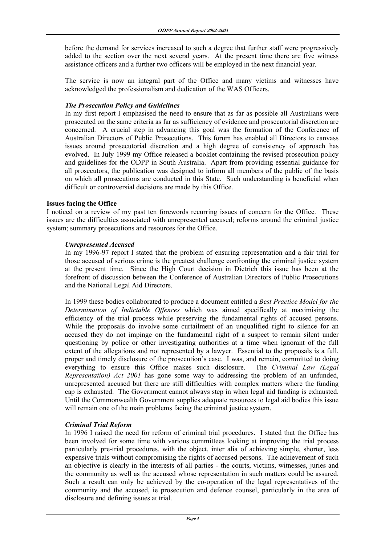before the demand for services increased to such a degree that further staff were progressively added to the section over the next several years. At the present time there are five witness assistance officers and a further two officers will be employed in the next financial year.

 The service is now an integral part of the Office and many victims and witnesses have acknowledged the professionalism and dedication of the WAS Officers.

#### *The Prosecution Policy and Guidelines*

 In my first report I emphasised the need to ensure that as far as possible all Australians were prosecuted on the same criteria as far as sufficiency of evidence and prosecutorial discretion are concerned. A crucial step in advancing this goal was the formation of the Conference of Australian Directors of Public Prosecutions. This forum has enabled all Directors to canvass issues around prosecutorial discretion and a high degree of consistency of approach has evolved. In July 1999 my Office released a booklet containing the revised prosecution policy and guidelines for the ODPP in South Australia. Apart from providing essential guidance for all prosecutors, the publication was designed to inform all members of the public of the basis on which all prosecutions are conducted in this State. Such understanding is beneficial when difficult or controversial decisions are made by this Office.

#### **Issues facing the Office**

I noticed on a review of my past ten forewords recurring issues of concern for the Office. These issues are the difficulties associated with unrepresented accused; reforms around the criminal justice system; summary prosecutions and resources for the Office.

#### *Unrepresented Accused*

 In my 1996-97 report I stated that the problem of ensuring representation and a fair trial for those accused of serious crime is the greatest challenge confronting the criminal justice system at the present time. Since the High Court decision in Dietrich this issue has been at the forefront of discussion between the Conference of Australian Directors of Public Prosecutions and the National Legal Aid Directors.

 In 1999 these bodies collaborated to produce a document entitled a *Best Practice Model for the Determination of Indictable Offences* which was aimed specifically at maximising the efficiency of the trial process while preserving the fundamental rights of accused persons. While the proposals do involve some curtailment of an unqualified right to silence for an accused they do not impinge on the fundamental right of a suspect to remain silent under questioning by police or other investigating authorities at a time when ignorant of the full extent of the allegations and not represented by a lawyer. Essential to the proposals is a full, proper and timely disclosure of the prosecution's case. I was, and remain, committed to doing everything to ensure this Office makes such disclosure. The *Criminal Law (Legal Representation) Act 2001* has gone some way to addressing the problem of an unfunded, unrepresented accused but there are still difficulties with complex matters where the funding cap is exhausted. The Government cannot always step in when legal aid funding is exhausted. Until the Commonwealth Government supplies adequate resources to legal aid bodies this issue will remain one of the main problems facing the criminal justice system.

# *Criminal Trial Reform*

 In 1996 I raised the need for reform of criminal trial procedures. I stated that the Office has been involved for some time with various committees looking at improving the trial process particularly pre-trial procedures, with the object, inter alia of achieving simple, shorter, less expensive trials without compromising the rights of accused persons. The achievement of such an objective is clearly in the interests of all parties - the courts, victims, witnesses, juries and the community as well as the accused whose representation in such matters could be assured. Such a result can only be achieved by the co-operation of the legal representatives of the community and the accused, ie prosecution and defence counsel, particularly in the area of disclosure and defining issues at trial.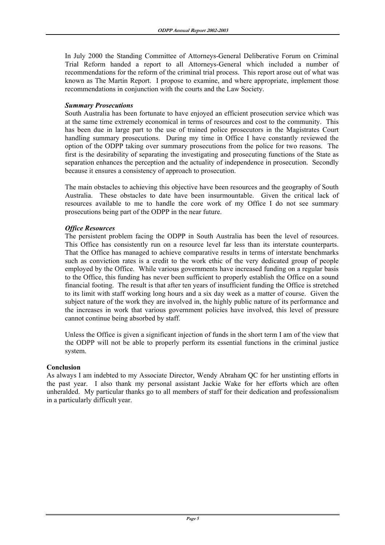In July 2000 the Standing Committee of Attorneys-General Deliberative Forum on Criminal Trial Reform handed a report to all Attorneys-General which included a number of recommendations for the reform of the criminal trial process. This report arose out of what was known as The Martin Report. I propose to examine, and where appropriate, implement those recommendations in conjunction with the courts and the Law Society.

#### *Summary Prosecutions*

South Australia has been fortunate to have enjoyed an efficient prosecution service which was at the same time extremely economical in terms of resources and cost to the community. This has been due in large part to the use of trained police prosecutors in the Magistrates Court handling summary prosecutions. During my time in Office I have constantly reviewed the option of the ODPP taking over summary prosecutions from the police for two reasons. The first is the desirability of separating the investigating and prosecuting functions of the State as separation enhances the perception and the actuality of independence in prosecution. Secondly because it ensures a consistency of approach to prosecution.

 The main obstacles to achieving this objective have been resources and the geography of South Australia. These obstacles to date have been insurmountable. Given the critical lack of resources available to me to handle the core work of my Office I do not see summary prosecutions being part of the ODPP in the near future.

# *Office Resources*

 The persistent problem facing the ODPP in South Australia has been the level of resources. This Office has consistently run on a resource level far less than its interstate counterparts. That the Office has managed to achieve comparative results in terms of interstate benchmarks such as conviction rates is a credit to the work ethic of the very dedicated group of people employed by the Office. While various governments have increased funding on a regular basis to the Office, this funding has never been sufficient to properly establish the Office on a sound financial footing. The result is that after ten years of insufficient funding the Office is stretched to its limit with staff working long hours and a six day week as a matter of course. Given the subject nature of the work they are involved in, the highly public nature of its performance and the increases in work that various government policies have involved, this level of pressure cannot continue being absorbed by staff.

 Unless the Office is given a significant injection of funds in the short term I am of the view that the ODPP will not be able to properly perform its essential functions in the criminal justice system.

# **Conclusion**

As always I am indebted to my Associate Director, Wendy Abraham QC for her unstinting efforts in the past year. I also thank my personal assistant Jackie Wake for her efforts which are often unheralded. My particular thanks go to all members of staff for their dedication and professionalism in a particularly difficult year.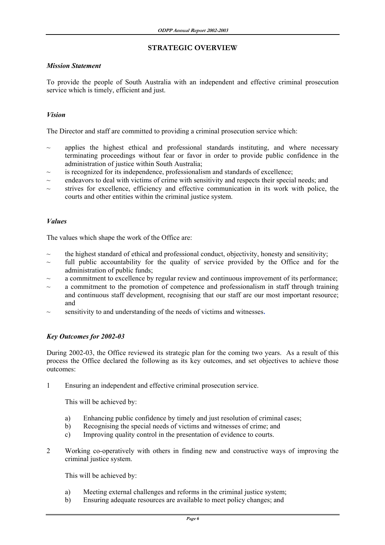# **STRATEGIC OVERVIEW**

#### *Mission Statement*

To provide the people of South Australia with an independent and effective criminal prosecution service which is timely, efficient and just.

# *Vision*

The Director and staff are committed to providing a criminal prosecution service which:

- applies the highest ethical and professional standards instituting, and where necessary terminating proceedings without fear or favor in order to provide public confidence in the administration of justice within South Australia;
- is recognized for its independence, professionalism and standards of excellence;
- endeavors to deal with victims of crime with sensitivity and respects their special needs; and
- strives for excellence, efficiency and effective communication in its work with police, the courts and other entities within the criminal justice system.

#### *Values*

The values which shape the work of the Office are:

- the highest standard of ethical and professional conduct, objectivity, honesty and sensitivity;
- $\sim$  full public accountability for the quality of service provided by the Office and for the administration of public funds;
- a commitment to excellence by regular review and continuous improvement of its performance;
- a commitment to the promotion of competence and professionalism in staff through training and continuous staff development, recognising that our staff are our most important resource; and
- sensitivity to and understanding of the needs of victims and witnesses.

# *Key Outcomes for 2002-03*

During 2002-03, the Office reviewed its strategic plan for the coming two years. As a result of this process the Office declared the following as its key outcomes, and set objectives to achieve those outcomes:

1 Ensuring an independent and effective criminal prosecution service.

This will be achieved by:

- a) Enhancing public confidence by timely and just resolution of criminal cases;
- b) Recognising the special needs of victims and witnesses of crime; and
- c) Improving quality control in the presentation of evidence to courts.
- 2 Working co-operatively with others in finding new and constructive ways of improving the criminal justice system.

This will be achieved by:

- a) Meeting external challenges and reforms in the criminal justice system;
- b) Ensuring adequate resources are available to meet policy changes; and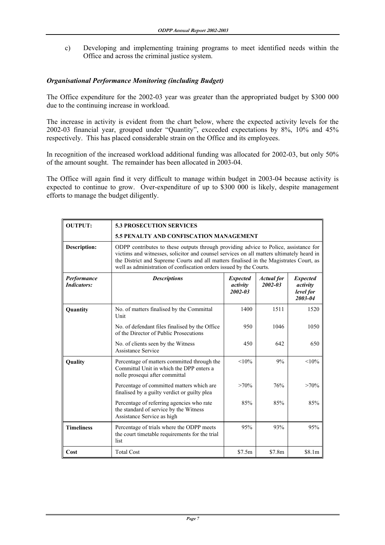c) Developing and implementing training programs to meet identified needs within the Office and across the criminal justice system.

# *Organisational Performance Monitoring (including Budget)*

The Office expenditure for the 2002-03 year was greater than the appropriated budget by \$300 000 due to the continuing increase in workload.

The increase in activity is evident from the chart below, where the expected activity levels for the 2002-03 financial year, grouped under "Quantity", exceeded expectations by 8%, 10% and 45% respectively. This has placed considerable strain on the Office and its employees.

In recognition of the increased workload additional funding was allocated for 2002-03, but only 50% of the amount sought. The remainder has been allocated in 2003-04.

The Office will again find it very difficult to manage within budget in 2003-04 because activity is expected to continue to grow. Over-expenditure of up to \$300 000 is likely, despite management efforts to manage the budget diligently.

| <b>OUTPUT:</b>                    | <b>5.3 PROSECUTION SERVICES</b>                                                                                                                                                                                                                                                                                                                   |          |        |                                                     |  |
|-----------------------------------|---------------------------------------------------------------------------------------------------------------------------------------------------------------------------------------------------------------------------------------------------------------------------------------------------------------------------------------------------|----------|--------|-----------------------------------------------------|--|
|                                   | <b>5.5 PENALTY AND CONFISCATION MANAGEMENT</b>                                                                                                                                                                                                                                                                                                    |          |        |                                                     |  |
| <b>Description:</b>               | ODPP contributes to these outputs through providing advice to Police, assistance for<br>victims and witnesses, solicitor and counsel services on all matters ultimately heard in<br>the District and Supreme Courts and all matters finalised in the Magistrates Court, as<br>well as administration of confiscation orders issued by the Courts. |          |        |                                                     |  |
| Performance<br><b>Indicators:</b> | <b>Descriptions</b><br><b>Expected</b><br><b>Actual</b> for<br>$2002 - 03$<br>activity<br>$2002 - 03$                                                                                                                                                                                                                                             |          |        | <b>Expected</b><br>activity<br>level for<br>2003-04 |  |
| Quantity                          | No. of matters finalised by the Committal<br>Unit                                                                                                                                                                                                                                                                                                 | 1400     | 1511   | 1520                                                |  |
|                                   | No. of defendant files finalised by the Office<br>of the Director of Public Prosecutions                                                                                                                                                                                                                                                          | 950      | 1046   | 1050                                                |  |
|                                   | No. of clients seen by the Witness<br>Assistance Service                                                                                                                                                                                                                                                                                          | 450      | 642    | 650                                                 |  |
| Quality                           | Percentage of matters committed through the<br>Committal Unit in which the DPP enters a<br>nolle prosequi after committal                                                                                                                                                                                                                         | $< 10\%$ | 9%     | $< 10\%$                                            |  |
|                                   | Percentage of committed matters which are<br>finalised by a guilty verdict or guilty plea                                                                                                                                                                                                                                                         | $>70\%$  | 76%    | $>70\%$                                             |  |
|                                   | Percentage of referring agencies who rate<br>the standard of service by the Witness<br>Assistance Service as high                                                                                                                                                                                                                                 | 85%      | 85%    | 85%                                                 |  |
| <b>Timeliness</b>                 | Percentage of trials where the ODPP meets<br>the court timetable requirements for the trial<br>list                                                                                                                                                                                                                                               | 95%      | 93%    | 95%                                                 |  |
| Cost                              | <b>Total Cost</b>                                                                                                                                                                                                                                                                                                                                 | \$7.5m   | \$7.8m | \$8.1m                                              |  |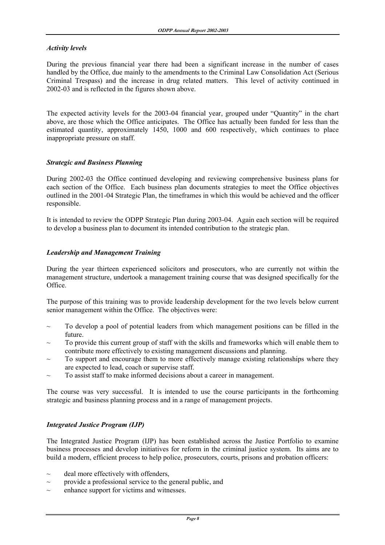#### *Activity levels*

During the previous financial year there had been a significant increase in the number of cases handled by the Office, due mainly to the amendments to the Criminal Law Consolidation Act (Serious Criminal Trespass) and the increase in drug related matters. This level of activity continued in 2002-03 and is reflected in the figures shown above.

The expected activity levels for the 2003-04 financial year, grouped under "Quantity" in the chart above, are those which the Office anticipates. The Office has actually been funded for less than the estimated quantity, approximately 1450, 1000 and 600 respectively, which continues to place inappropriate pressure on staff.

#### *Strategic and Business Planning*

During 2002-03 the Office continued developing and reviewing comprehensive business plans for each section of the Office. Each business plan documents strategies to meet the Office objectives outlined in the 2001-04 Strategic Plan, the timeframes in which this would be achieved and the officer responsible.

It is intended to review the ODPP Strategic Plan during 2003-04. Again each section will be required to develop a business plan to document its intended contribution to the strategic plan.

#### *Leadership and Management Training*

During the year thirteen experienced solicitors and prosecutors, who are currently not within the management structure, undertook a management training course that was designed specifically for the Office.

The purpose of this training was to provide leadership development for the two levels below current senior management within the Office. The objectives were:

- To develop a pool of potential leaders from which management positions can be filled in the future.
- $\sim$  To provide this current group of staff with the skills and frameworks which will enable them to contribute more effectively to existing management discussions and planning.
- To support and encourage them to more effectively manage existing relationships where they are expected to lead, coach or supervise staff.
- To assist staff to make informed decisions about a career in management.

The course was very successful. It is intended to use the course participants in the forthcoming strategic and business planning process and in a range of management projects.

#### *Integrated Justice Program (IJP)*

The Integrated Justice Program (IJP) has been established across the Justice Portfolio to examine business processes and develop initiatives for reform in the criminal justice system. Its aims are to build a modern, efficient process to help police, prosecutors, courts, prisons and probation officers:

- $\sim$  deal more effectively with offenders,
- $\sim$  provide a professional service to the general public, and
- enhance support for victims and witnesses.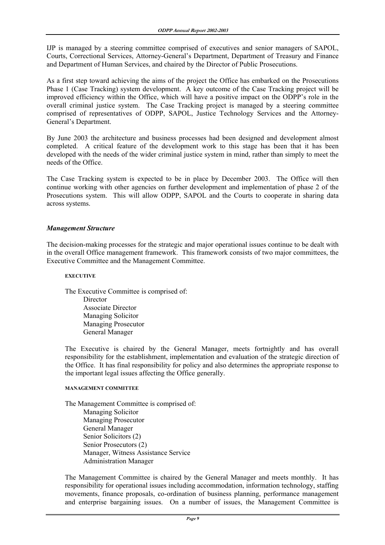IJP is managed by a steering committee comprised of executives and senior managers of SAPOL, Courts, Correctional Services, Attorney-General's Department, Department of Treasury and Finance and Department of Human Services, and chaired by the Director of Public Prosecutions.

As a first step toward achieving the aims of the project the Office has embarked on the Prosecutions Phase 1 (Case Tracking) system development. A key outcome of the Case Tracking project will be improved efficiency within the Office, which will have a positive impact on the ODPP's role in the overall criminal justice system. The Case Tracking project is managed by a steering committee comprised of representatives of ODPP, SAPOL, Justice Technology Services and the Attorney-General's Department.

By June 2003 the architecture and business processes had been designed and development almost completed. A critical feature of the development work to this stage has been that it has been developed with the needs of the wider criminal justice system in mind, rather than simply to meet the needs of the Office.

The Case Tracking system is expected to be in place by December 2003. The Office will then continue working with other agencies on further development and implementation of phase 2 of the Prosecutions system. This will allow ODPP, SAPOL and the Courts to cooperate in sharing data across systems.

#### *Management Structure*

The decision-making processes for the strategic and major operational issues continue to be dealt with in the overall Office management framework. This framework consists of two major committees, the Executive Committee and the Management Committee.

#### **EXECUTIVE**

 The Executive Committee is comprised of: **Director**  Associate Director Managing Solicitor Managing Prosecutor General Manager

 The Executive is chaired by the General Manager, meets fortnightly and has overall responsibility for the establishment, implementation and evaluation of the strategic direction of the Office. It has final responsibility for policy and also determines the appropriate response to the important legal issues affecting the Office generally.

#### **MANAGEMENT COMMITTEE**

 The Management Committee is comprised of: Managing Solicitor Managing Prosecutor General Manager Senior Solicitors (2) Senior Prosecutors (2) Manager, Witness Assistance Service Administration Manager

 The Management Committee is chaired by the General Manager and meets monthly. It has responsibility for operational issues including accommodation, information technology, staffing movements, finance proposals, co-ordination of business planning, performance management and enterprise bargaining issues. On a number of issues, the Management Committee is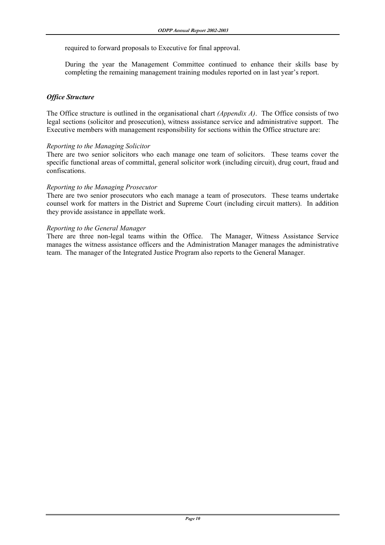required to forward proposals to Executive for final approval.

 During the year the Management Committee continued to enhance their skills base by completing the remaining management training modules reported on in last year's report.

#### *Office Structure*

The Office structure is outlined in the organisational chart *(Appendix A)*. The Office consists of two legal sections (solicitor and prosecution), witness assistance service and administrative support. The Executive members with management responsibility for sections within the Office structure are:

#### *Reporting to the Managing Solicitor*

There are two senior solicitors who each manage one team of solicitors. These teams cover the specific functional areas of committal, general solicitor work (including circuit), drug court, fraud and confiscations.

#### *Reporting to the Managing Prosecutor*

There are two senior prosecutors who each manage a team of prosecutors. These teams undertake counsel work for matters in the District and Supreme Court (including circuit matters). In addition they provide assistance in appellate work.

#### *Reporting to the General Manager*

There are three non-legal teams within the Office. The Manager, Witness Assistance Service manages the witness assistance officers and the Administration Manager manages the administrative team. The manager of the Integrated Justice Program also reports to the General Manager.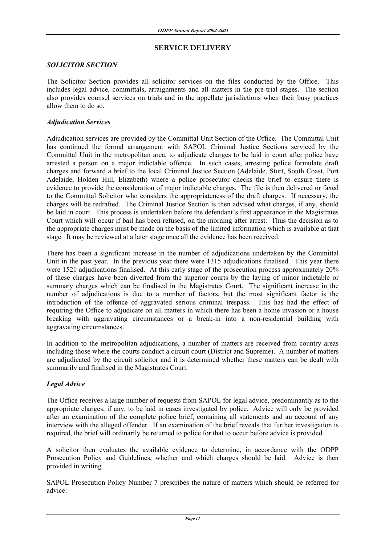#### **SERVICE DELIVERY**

#### *SOLICITOR SECTION*

The Solicitor Section provides all solicitor services on the files conducted by the Office. This includes legal advice, committals, arraignments and all matters in the pre-trial stages. The section also provides counsel services on trials and in the appellate jurisdictions when their busy practices allow them to do so.

#### *Adjudication Services*

Adjudication services are provided by the Committal Unit Section of the Office. The Committal Unit has continued the formal arrangement with SAPOL Criminal Justice Sections serviced by the Committal Unit in the metropolitan area, to adjudicate charges to be laid in court after police have arrested a person on a major indictable offence. In such cases, arresting police formulate draft charges and forward a brief to the local Criminal Justice Section (Adelaide, Sturt, South Coast, Port Adelaide, Holden Hill, Elizabeth) where a police prosecutor checks the brief to ensure there is evidence to provide the consideration of major indictable charges. The file is then delivered or faxed to the Committal Solicitor who considers the appropriateness of the draft charges. If necessary, the charges will be redrafted. The Criminal Justice Section is then advised what charges, if any, should be laid in court. This process is undertaken before the defendant's first appearance in the Magistrates Court which will occur if bail has been refused, on the morning after arrest. Thus the decision as to the appropriate charges must be made on the basis of the limited information which is available at that stage. It may be reviewed at a later stage once all the evidence has been received.

There has been a significant increase in the number of adjudications undertaken by the Committal Unit in the past year. In the previous year there were 1315 adjudications finalised. This year there were 1521 adjudications finalised. At this early stage of the prosecution process approximately 20% of these charges have been diverted from the superior courts by the laying of minor indictable or summary charges which can be finalised in the Magistrates Court. The significant increase in the number of adjudications is due to a number of factors, but the most significant factor is the introduction of the offence of aggravated serious criminal trespass. This has had the effect of requiring the Office to adjudicate on all matters in which there has been a home invasion or a house breaking with aggravating circumstances or a break-in into a non-residential building with aggravating circumstances.

In addition to the metropolitan adjudications, a number of matters are received from country areas including those where the courts conduct a circuit court (District and Supreme). A number of matters are adjudicated by the circuit solicitor and it is determined whether these matters can be dealt with summarily and finalised in the Magistrates Court.

# *Legal Advice*

The Office receives a large number of requests from SAPOL for legal advice, predominantly as to the appropriate charges, if any, to be laid in cases investigated by police. Advice will only be provided after an examination of the complete police brief, containing all statements and an account of any interview with the alleged offender. If an examination of the brief reveals that further investigation is required, the brief will ordinarily be returned to police for that to occur before advice is provided.

A solicitor then evaluates the available evidence to determine, in accordance with the ODPP Prosecution Policy and Guidelines, whether and which charges should be laid. Advice is then provided in writing.

SAPOL Prosecution Policy Number 7 prescribes the nature of matters which should be referred for advice: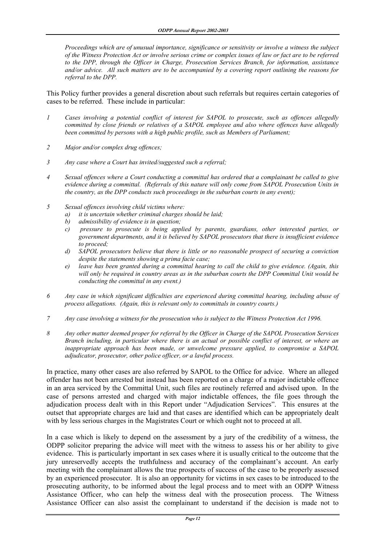*Proceedings which are of unusual importance, significance or sensitivity or involve a witness the subject of the Witness Protection Act or involve serious crime or complex issues of law or fact are to be referred to the DPP, through the Officer in Charge, Prosecution Services Branch, for information, assistance and/or advice. All such matters are to be accompanied by a covering report outlining the reasons for referral to the DPP.* 

This Policy further provides a general discretion about such referrals but requires certain categories of cases to be referred. These include in particular:

- *1 Cases involving a potential conflict of interest for SAPOL to prosecute, such as offences allegedly committed by close friends or relatives of a SAPOL employee and also where offences have allegedly been committed by persons with a high public profile, such as Members of Parliament;*
- *2 Major and/or complex drug offences;*
- *3 Any case where a Court has invited/suggested such a referral;*
- *4 Sexual offences where a Court conducting a committal has ordered that a complainant be called to give evidence during a committal. (Referrals of this nature will only come from SAPOL Prosecution Units in the country, as the DPP conducts such proceedings in the suburban courts in any event);*
- *5 Sexual offences involving child victims where:* 
	- *a) it is uncertain whether criminal charges should be laid;*
	- *b) admissibility of evidence is in question;*
	- *c) pressure to prosecute is being applied by parents, guardians, other interested parties, or government departments, and it is believed by SAPOL prosecutors that there is insufficient evidence to proceed;*
	- *d) SAPOL prosecutors believe that there is little or no reasonable prospect of securing a conviction despite the statements showing a prima facie case;*
	- *e) leave has been granted during a committal hearing to call the child to give evidence. (Again, this will only be required in country areas as in the suburban courts the DPP Committal Unit would be conducting the committal in any event.)*
- *6 Any case in which significant difficulties are experienced during committal hearing, including abuse of process allegations. (Again, this is relevant only to committals in country courts.)*
- *7 Any case involving a witness for the prosecution who is subject to the Witness Protection Act 1996.*
- *8 Any other matter deemed proper for referral by the Officer in Charge of the SAPOL Prosecution Services Branch including, in particular where there is an actual or possible conflict of interest, or where an inappropriate approach has been made, or unwelcome pressure applied, to compromise a SAPOL adjudicator, prosecutor, other police officer, or a lawful process.*

In practice, many other cases are also referred by SAPOL to the Office for advice. Where an alleged offender has not been arrested but instead has been reported on a charge of a major indictable offence in an area serviced by the Committal Unit, such files are routinely referred and advised upon. In the case of persons arrested and charged with major indictable offences, the file goes through the adjudication process dealt with in this Report under "Adjudication Services". This ensures at the outset that appropriate charges are laid and that cases are identified which can be appropriately dealt with by less serious charges in the Magistrates Court or which ought not to proceed at all.

In a case which is likely to depend on the assessment by a jury of the credibility of a witness, the ODPP solicitor preparing the advice will meet with the witness to assess his or her ability to give evidence. This is particularly important in sex cases where it is usually critical to the outcome that the jury unreservedly accepts the truthfulness and accuracy of the complainant's account. An early meeting with the complainant allows the true prospects of success of the case to be properly assessed by an experienced prosecutor. It is also an opportunity for victims in sex cases to be introduced to the prosecuting authority, to be informed about the legal process and to meet with an ODPP Witness Assistance Officer, who can help the witness deal with the prosecution process. The Witness Assistance Officer can also assist the complainant to understand if the decision is made not to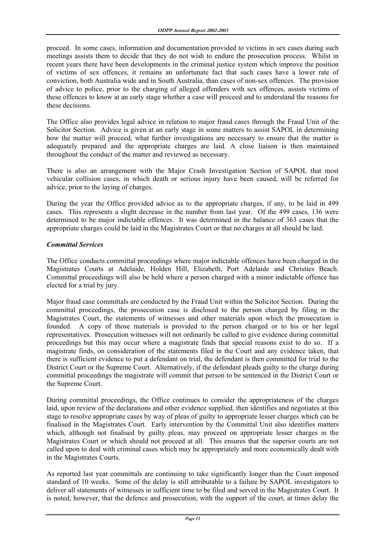proceed. In some cases, information and documentation provided to victims in sex cases during such meetings assists them to decide that they do not wish to endure the prosecution process. Whilst in recent years there have been developments in the criminal justice system which improve the position of victims of sex offences, it remains an unfortunate fact that such cases have a lower rate of conviction, both Australia wide and in South Australia, than cases of non-sex offences. The provision of advice to police, prior to the charging of alleged offenders with sex offences, assists victims of these offences to know at an early stage whether a case will proceed and to understand the reasons for these decisions.

The Office also provides legal advice in relation to major fraud cases through the Fraud Unit of the Solicitor Section. Advice is given at an early stage in some matters to assist SAPOL in determining how the matter will proceed, what further investigations are necessary to ensure that the matter is adequately prepared and the appropriate charges are laid. A close liaison is then maintained throughout the conduct of the matter and reviewed as necessary.

There is also an arrangement with the Major Crash Investigation Section of SAPOL that most vehicular collision cases, in which death or serious injury have been caused, will be referred for advice, prior to the laying of charges.

During the year the Office provided advice as to the appropriate charges, if any, to be laid in 499 cases. This represents a slight decrease in the number from last year. Of the 499 cases, 136 were determined to be major indictable offences. It was determined in the balance of 363 cases that the appropriate charges could be laid in the Magistrates Court or that no charges at all should be laid.

#### *Committal Services*

The Office conducts committal proceedings where major indictable offences have been charged in the Magistrates Courts at Adelaide, Holden Hill, Elizabeth, Port Adelaide and Christies Beach. Committal proceedings will also be held where a person charged with a minor indictable offence has elected for a trial by jury.

Major fraud case committals are conducted by the Fraud Unit within the Solicitor Section. During the committal proceedings, the prosecution case is disclosed to the person charged by filing in the Magistrates Court, the statements of witnesses and other materials upon which the prosecution is founded. A copy of those materials is provided to the person charged or to his or her legal representatives. Prosecution witnesses will not ordinarily be called to give evidence during committal proceedings but this may occur where a magistrate finds that special reasons exist to do so. If a magistrate finds, on consideration of the statements filed in the Court and any evidence taken, that there is sufficient evidence to put a defendant on trial, the defendant is then committed for trial to the District Court or the Supreme Court. Alternatively, if the defendant pleads guilty to the charge during committal proceedings the magistrate will commit that person to be sentenced in the District Court or the Supreme Court.

During committal proceedings, the Office continues to consider the appropriateness of the charges laid, upon review of the declarations and other evidence supplied, then identifies and negotiates at this stage to resolve appropriate cases by way of pleas of guilty to appropriate lesser charges which can be finalised in the Magistrates Court. Early intervention by the Committal Unit also identifies matters which, although not finalised by guilty pleas, may proceed on appropriate lesser charges in the Magistrates Court or which should not proceed at all. This ensures that the superior courts are not called upon to deal with criminal cases which may be appropriately and more economically dealt with in the Magistrates Courts.

As reported last year committals are continuing to take significantly longer than the Court imposed standard of 10 weeks. Some of the delay is still attributable to a failure by SAPOL investigators to deliver all statements of witnesses in sufficient time to be filed and served in the Magistrates Court. It is noted, however, that the defence and prosecution, with the support of the court, at times delay the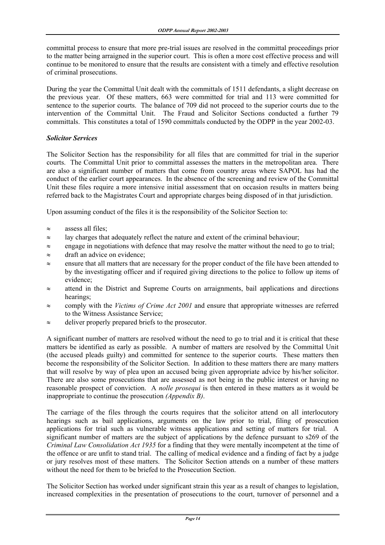committal process to ensure that more pre-trial issues are resolved in the committal proceedings prior to the matter being arraigned in the superior court. This is often a more cost effective process and will continue to be monitored to ensure that the results are consistent with a timely and effective resolution of criminal prosecutions.

During the year the Committal Unit dealt with the committals of 1511 defendants, a slight decrease on the previous year. Of these matters, 663 were committed for trial and 113 were committed for sentence to the superior courts. The balance of 709 did not proceed to the superior courts due to the intervention of the Committal Unit. The Fraud and Solicitor Sections conducted a further 79 committals. This constitutes a total of 1590 committals conducted by the ODPP in the year 2002-03.

#### *Solicitor Services*

The Solicitor Section has the responsibility for all files that are committed for trial in the superior courts. The Committal Unit prior to committal assesses the matters in the metropolitan area. There are also a significant number of matters that come from country areas where SAPOL has had the conduct of the earlier court appearances. In the absence of the screening and review of the Committal Unit these files require a more intensive initial assessment that on occasion results in matters being referred back to the Magistrates Court and appropriate charges being disposed of in that jurisdiction.

Upon assuming conduct of the files it is the responsibility of the Solicitor Section to:

- $\approx$  assess all files;
- $\approx$  lay charges that adequately reflect the nature and extent of the criminal behaviour;
- ≈ engage in negotiations with defence that may resolve the matter without the need to go to trial;
- ≈ draft an advice on evidence;
- ≈ ensure that all matters that are necessary for the proper conduct of the file have been attended to by the investigating officer and if required giving directions to the police to follow up items of evidence;
- ≈ attend in the District and Supreme Courts on arraignments, bail applications and directions hearings;
- ≈ comply with the *Victims of Crime Act 2001* and ensure that appropriate witnesses are referred to the Witness Assistance Service;
- ≈ deliver properly prepared briefs to the prosecutor.

A significant number of matters are resolved without the need to go to trial and it is critical that these matters be identified as early as possible. A number of matters are resolved by the Committal Unit (the accused pleads guilty) and committed for sentence to the superior courts. These matters then become the responsibility of the Solicitor Section. In addition to these matters there are many matters that will resolve by way of plea upon an accused being given appropriate advice by his/her solicitor. There are also some prosecutions that are assessed as not being in the public interest or having no reasonable prospect of conviction. A *nolle prosequi* is then entered in these matters as it would be inappropriate to continue the prosecution *(Appendix B)*.

The carriage of the files through the courts requires that the solicitor attend on all interlocutory hearings such as bail applications, arguments on the law prior to trial, filing of prosecution applications for trial such as vulnerable witness applications and setting of matters for trial. A significant number of matters are the subject of applications by the defence pursuant to s269 of the *Criminal Law Consolidation Act 1935* for a finding that they were mentally incompetent at the time of the offence or are unfit to stand trial. The calling of medical evidence and a finding of fact by a judge or jury resolves most of these matters. The Solicitor Section attends on a number of these matters without the need for them to be briefed to the Prosecution Section.

The Solicitor Section has worked under significant strain this year as a result of changes to legislation, increased complexities in the presentation of prosecutions to the court, turnover of personnel and a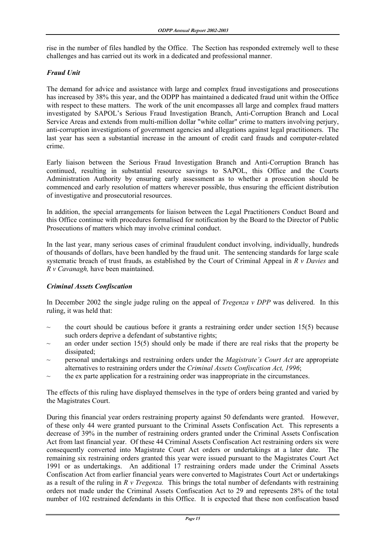rise in the number of files handled by the Office. The Section has responded extremely well to these challenges and has carried out its work in a dedicated and professional manner.

#### *Fraud Unit*

The demand for advice and assistance with large and complex fraud investigations and prosecutions has increased by 38% this year, and the ODPP has maintained a dedicated fraud unit within the Office with respect to these matters. The work of the unit encompasses all large and complex fraud matters investigated by SAPOL's Serious Fraud Investigation Branch, Anti-Corruption Branch and Local Service Areas and extends from multi-million dollar "white collar" crime to matters involving perjury, anti-corruption investigations of government agencies and allegations against legal practitioners. The last year has seen a substantial increase in the amount of credit card frauds and computer-related crime.

Early liaison between the Serious Fraud Investigation Branch and Anti-Corruption Branch has continued, resulting in substantial resource savings to SAPOL, this Office and the Courts Administration Authority by ensuring early assessment as to whether a prosecution should be commenced and early resolution of matters wherever possible, thus ensuring the efficient distribution of investigative and prosecutorial resources.

In addition, the special arrangements for liaison between the Legal Practitioners Conduct Board and this Office continue with procedures formalised for notification by the Board to the Director of Public Prosecutions of matters which may involve criminal conduct.

In the last year, many serious cases of criminal fraudulent conduct involving, individually, hundreds of thousands of dollars, have been handled by the fraud unit. The sentencing standards for large scale systematic breach of trust frauds, as established by the Court of Criminal Appeal in *R v Davies* and *R v Cavanagh,* have been maintained.

#### *Criminal Assets Confiscation*

In December 2002 the single judge ruling on the appeal of *Tregenza v DPP* was delivered. In this ruling, it was held that:

- the court should be cautious before it grants a restraining order under section  $15(5)$  because such orders deprive a defendant of substantive rights;
- an order under section  $15(5)$  should only be made if there are real risks that the property be dissipated;
- ~ personal undertakings and restraining orders under the *Magistrate's Court Act* are appropriate alternatives to restraining orders under the *Criminal Assets Confiscation Act, 1996*;
- ~ the ex parte application for a restraining order was inappropriate in the circumstances.

The effects of this ruling have displayed themselves in the type of orders being granted and varied by the Magistrates Court.

During this financial year orders restraining property against 50 defendants were granted. However, of these only 44 were granted pursuant to the Criminal Assets Confiscation Act. This represents a decrease of 39% in the number of restraining orders granted under the Criminal Assets Confiscation Act from last financial year. Of these 44 Criminal Assets Confiscation Act restraining orders six were consequently converted into Magistrate Court Act orders or undertakings at a later date. The remaining six restraining orders granted this year were issued pursuant to the Magistrates Court Act 1991 or as undertakings. An additional 17 restraining orders made under the Criminal Assets Confiscation Act from earlier financial years were converted to Magistrates Court Act or undertakings as a result of the ruling in *R v Tregenza.* This brings the total number of defendants with restraining orders not made under the Criminal Assets Confiscation Act to 29 and represents 28% of the total number of 102 restrained defendants in this Office. It is expected that these non confiscation based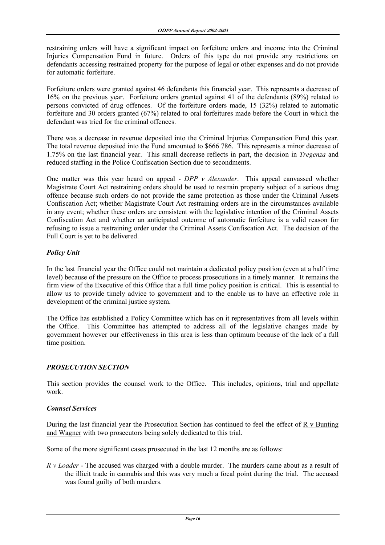restraining orders will have a significant impact on forfeiture orders and income into the Criminal Injuries Compensation Fund in future. Orders of this type do not provide any restrictions on defendants accessing restrained property for the purpose of legal or other expenses and do not provide for automatic forfeiture.

Forfeiture orders were granted against 46 defendants this financial year. This represents a decrease of 16% on the previous year. Forfeiture orders granted against 41 of the defendants (89%) related to persons convicted of drug offences. Of the forfeiture orders made, 15 (32%) related to automatic forfeiture and 30 orders granted (67%) related to oral forfeitures made before the Court in which the defendant was tried for the criminal offences.

There was a decrease in revenue deposited into the Criminal Injuries Compensation Fund this year. The total revenue deposited into the Fund amounted to \$666 786. This represents a minor decrease of 1.75% on the last financial year. This small decrease reflects in part, the decision in *Tregenza* and reduced staffing in the Police Confiscation Section due to secondments.

One matter was this year heard on appeal - *DPP v Alexander*. This appeal canvassed whether Magistrate Court Act restraining orders should be used to restrain property subject of a serious drug offence because such orders do not provide the same protection as those under the Criminal Assets Confiscation Act; whether Magistrate Court Act restraining orders are in the circumstances available in any event; whether these orders are consistent with the legislative intention of the Criminal Assets Confiscation Act and whether an anticipated outcome of automatic forfeiture is a valid reason for refusing to issue a restraining order under the Criminal Assets Confiscation Act. The decision of the Full Court is yet to be delivered.

# *Policy Unit*

In the last financial year the Office could not maintain a dedicated policy position (even at a half time level) because of the pressure on the Office to process prosecutions in a timely manner. It remains the firm view of the Executive of this Office that a full time policy position is critical. This is essential to allow us to provide timely advice to government and to the enable us to have an effective role in development of the criminal justice system.

The Office has established a Policy Committee which has on it representatives from all levels within the Office. This Committee has attempted to address all of the legislative changes made by government however our effectiveness in this area is less than optimum because of the lack of a full time position.

# *PROSECUTION SECTION*

This section provides the counsel work to the Office. This includes, opinions, trial and appellate work.

# *Counsel Services*

During the last financial year the Prosecution Section has continued to feel the effect of R v Bunting and Wagner with two prosecutors being solely dedicated to this trial.

Some of the more significant cases prosecuted in the last 12 months are as follows:

*R v Loader* - The accused was charged with a double murder. The murders came about as a result of the illicit trade in cannabis and this was very much a focal point during the trial. The accused was found guilty of both murders.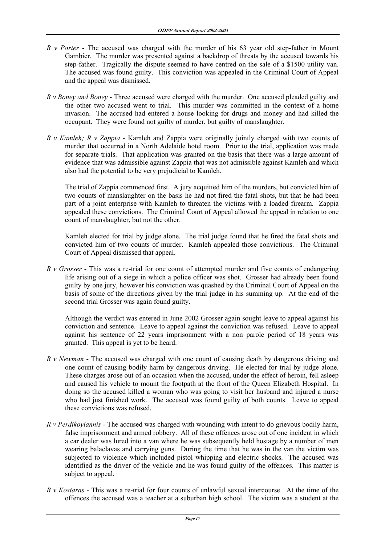- *R v Porter*  The accused was charged with the murder of his 63 year old step-father in Mount Gambier. The murder was presented against a backdrop of threats by the accused towards his step-father. Tragically the dispute seemed to have centred on the sale of a \$1500 utility van. The accused was found guilty. This conviction was appealed in the Criminal Court of Appeal and the appeal was dismissed.
- *R v Boney and Boney*  Three accused were charged with the murder. One accused pleaded guilty and the other two accused went to trial. This murder was committed in the context of a home invasion. The accused had entered a house looking for drugs and money and had killed the occupant. They were found not guilty of murder, but guilty of manslaughter.
- *R v Kamleh; R v Zappia*  Kamleh and Zappia were originally jointly charged with two counts of murder that occurred in a North Adelaide hotel room. Prior to the trial, application was made for separate trials. That application was granted on the basis that there was a large amount of evidence that was admissible against Zappia that was not admissible against Kamleh and which also had the potential to be very prejudicial to Kamleh.

 The trial of Zappia commenced first. A jury acquitted him of the murders, but convicted him of two counts of manslaughter on the basis he had not fired the fatal shots, but that he had been part of a joint enterprise with Kamleh to threaten the victims with a loaded firearm. Zappia appealed these convictions. The Criminal Court of Appeal allowed the appeal in relation to one count of manslaughter, but not the other.

 Kamleh elected for trial by judge alone. The trial judge found that he fired the fatal shots and convicted him of two counts of murder. Kamleh appealed those convictions. The Criminal Court of Appeal dismissed that appeal.

*R v Grosser* - This was a re-trial for one count of attempted murder and five counts of endangering life arising out of a siege in which a police officer was shot. Grosser had already been found guilty by one jury, however his conviction was quashed by the Criminal Court of Appeal on the basis of some of the directions given by the trial judge in his summing up. At the end of the second trial Grosser was again found guilty.

 Although the verdict was entered in June 2002 Grosser again sought leave to appeal against his conviction and sentence. Leave to appeal against the conviction was refused. Leave to appeal against his sentence of 22 years imprisonment with a non parole period of 18 years was granted. This appeal is yet to be heard.

- *R v Newman* The accused was charged with one count of causing death by dangerous driving and one count of causing bodily harm by dangerous driving. He elected for trial by judge alone. These charges arose out of an occasion when the accused, under the effect of heroin, fell asleep and caused his vehicle to mount the footpath at the front of the Queen Elizabeth Hospital. In doing so the accused killed a woman who was going to visit her husband and injured a nurse who had just finished work. The accused was found guilty of both counts. Leave to appeal these convictions was refused.
- *R v Perdikoyiannis*  The accused was charged with wounding with intent to do grievous bodily harm, false imprisonment and armed robbery. All of these offences arose out of one incident in which a car dealer was lured into a van where he was subsequently held hostage by a number of men wearing balaclavas and carrying guns. During the time that he was in the van the victim was subjected to violence which included pistol whipping and electric shocks. The accused was identified as the driver of the vehicle and he was found guilty of the offences. This matter is subject to appeal.
- *R v Kostaras* This was a re-trial for four counts of unlawful sexual intercourse. At the time of the offences the accused was a teacher at a suburban high school. The victim was a student at the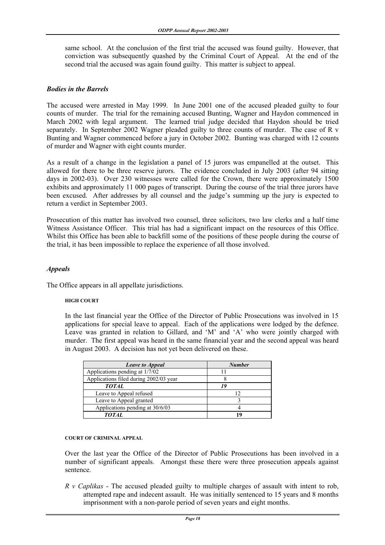same school. At the conclusion of the first trial the accused was found guilty. However, that conviction was subsequently quashed by the Criminal Court of Appeal. At the end of the second trial the accused was again found guilty. This matter is subject to appeal.

#### *Bodies in the Barrels*

The accused were arrested in May 1999. In June 2001 one of the accused pleaded guilty to four counts of murder. The trial for the remaining accused Bunting, Wagner and Haydon commenced in March 2002 with legal argument. The learned trial judge decided that Haydon should be tried separately. In September 2002 Wagner pleaded guilty to three counts of murder. The case of R v Bunting and Wagner commenced before a jury in October 2002. Bunting was charged with 12 counts of murder and Wagner with eight counts murder.

As a result of a change in the legislation a panel of 15 jurors was empanelled at the outset. This allowed for there to be three reserve jurors. The evidence concluded in July 2003 (after 94 sitting days in 2002-03). Over 230 witnesses were called for the Crown, there were approximately 1500 exhibits and approximately 11 000 pages of transcript. During the course of the trial three jurors have been excused. After addresses by all counsel and the judge's summing up the jury is expected to return a verdict in September 2003.

Prosecution of this matter has involved two counsel, three solicitors, two law clerks and a half time Witness Assistance Officer. This trial has had a significant impact on the resources of this Office. Whilst this Office has been able to backfill some of the positions of these people during the course of the trial, it has been impossible to replace the experience of all those involved.

#### *Appeals*

The Office appears in all appellate jurisdictions.

#### **HIGH COURT**

 In the last financial year the Office of the Director of Public Prosecutions was involved in 15 applications for special leave to appeal. Each of the applications were lodged by the defence. Leave was granted in relation to Gillard, and 'M' and 'A' who were jointly charged with murder. The first appeal was heard in the same financial year and the second appeal was heard in August 2003. A decision has not yet been delivered on these.

| <b>Leave to Appeal</b>                 | <b>Number</b> |
|----------------------------------------|---------------|
| Applications pending at 1/7/02         |               |
| Applications filed during 2002/03 year |               |
| <b>TOTAL</b>                           | 19            |
| Leave to Appeal refused                |               |
| Leave to Appeal granted                |               |
| Applications pending at 30/6/03        |               |
| <b>TOTAL</b>                           | 1 Q           |

#### **COURT OF CRIMINAL APPEAL**

 Over the last year the Office of the Director of Public Prosecutions has been involved in a number of significant appeals. Amongst these there were three prosecution appeals against sentence.

*R v Caplikas* - The accused pleaded guilty to multiple charges of assault with intent to rob, attempted rape and indecent assault. He was initially sentenced to 15 years and 8 months imprisonment with a non-parole period of seven years and eight months.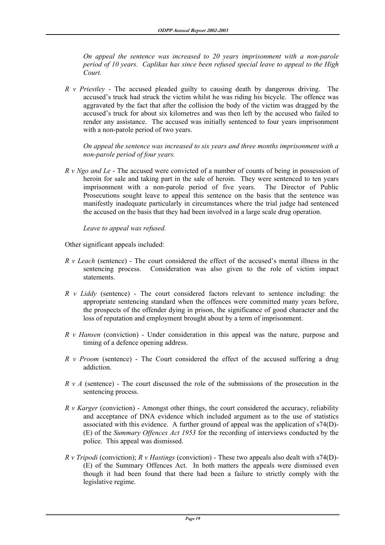*On appeal the sentence was increased to 20 years imprisonment with a non-parole period of 10 years. Caplikas has since been refused special leave to appeal to the High Court.* 

*R v Priestley* - The accused pleaded guilty to causing death by dangerous driving. The accused's truck had struck the victim whilst he was riding his bicycle. The offence was aggravated by the fact that after the collision the body of the victim was dragged by the accused's truck for about six kilometres and was then left by the accused who failed to render any assistance. The accused was initially sentenced to four years imprisonment with a non-parole period of two years.

 *On appeal the sentence was increased to six years and three months imprisonment with a non-parole period of four years.* 

 *R v Ngo and Le* - The accused were convicted of a number of counts of being in possession of heroin for sale and taking part in the sale of heroin. They were sentenced to ten years imprisonment with a non-parole period of five years. The Director of Public Prosecutions sought leave to appeal this sentence on the basis that the sentence was manifestly inadequate particularly in circumstances where the trial judge had sentenced the accused on the basis that they had been involved in a large scale drug operation.

*Leave to appeal was refused.* 

Other significant appeals included:

- *R v Leach* (sentence) The court considered the effect of the accused's mental illness in the sentencing process. Consideration was also given to the role of victim impact statements.
- *R v Liddy* (sentence) The court considered factors relevant to sentence including: the appropriate sentencing standard when the offences were committed many years before, the prospects of the offender dying in prison, the significance of good character and the loss of reputation and employment brought about by a term of imprisonment.
- *R v Hansen* (conviction) Under consideration in this appeal was the nature, purpose and timing of a defence opening address.
- *R v Proom* (sentence) The Court considered the effect of the accused suffering a drug addiction.
- *R v A* (sentence) The court discussed the role of the submissions of the prosecution in the sentencing process.
- *R v Karger* (conviction) Amongst other things, the court considered the accuracy, reliability and acceptance of DNA evidence which included argument as to the use of statistics associated with this evidence. A further ground of appeal was the application of s74(D)- (E) of the *Summary Offences Act 1953* for the recording of interviews conducted by the police. This appeal was dismissed.
- *R v Tripodi* (conviction); *R v Hastings* (conviction) These two appeals also dealt with s74(D)- (E) of the Summary Offences Act. In both matters the appeals were dismissed even though it had been found that there had been a failure to strictly comply with the legislative regime.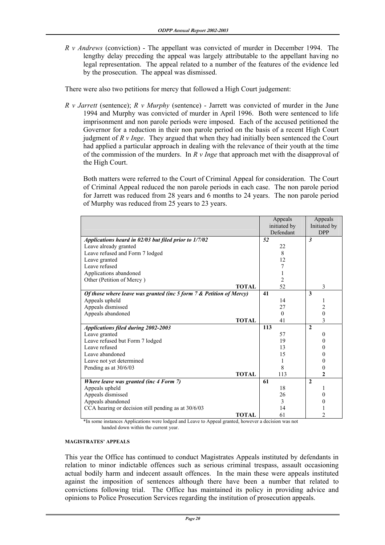*R v Andrews* (conviction) - The appellant was convicted of murder in December 1994. The lengthy delay preceding the appeal was largely attributable to the appellant having no legal representation. The appeal related to a number of the features of the evidence led by the prosecution. The appeal was dismissed.

There were also two petitions for mercy that followed a High Court judgement:

*R v Jarrett* (sentence); *R v Murphy* (sentence) - Jarrett was convicted of murder in the June 1994 and Murphy was convicted of murder in April 1996. Both were sentenced to life imprisonment and non parole periods were imposed. Each of the accused petitioned the Governor for a reduction in their non parole period on the basis of a recent High Court judgment of *R v Inge*. They argued that when they had initially been sentenced the Court had applied a particular approach in dealing with the relevance of their youth at the time of the commission of the murders. In *R v Inge* that approach met with the disapproval of the High Court.

 Both matters were referred to the Court of Criminal Appeal for consideration. The Court of Criminal Appeal reduced the non parole periods in each case. The non parole period for Jarrett was reduced from 28 years and 6 months to 24 years. The non parole period of Murphy was reduced from 25 years to 23 years.

|                                                                     | Appeals        | Appeals        |
|---------------------------------------------------------------------|----------------|----------------|
|                                                                     | initiated by   | Initiated by   |
|                                                                     | Defendant      | <b>DPP</b>     |
| Applications heard in 02/03 but filed prior to 1/7/02               | 52             | $\mathbf{3}$   |
| Leave already granted                                               | 22             |                |
| Leave refused and Form 7 lodged                                     | 8              |                |
| Leave granted                                                       | 12             |                |
| Leave refused                                                       |                |                |
| Applications abandoned                                              |                |                |
| Other (Petition of Mercy)                                           | $\overline{2}$ |                |
| <b>TOTAL</b>                                                        | 52             | 3              |
| Of those where leave was granted (inc 5 form 7 & Petition of Mercy) | 41             | 3              |
| Appeals upheld                                                      | 14             |                |
| Appeals dismissed                                                   | 27             | 2              |
| Appeals abandoned                                                   | $\Omega$       | $\mathbf{0}$   |
| <b>TOTAL</b>                                                        | 41             | 3              |
| <b>Applications filed during 2002-2003</b>                          | 113            | $\mathbf{2}$   |
| Leave granted                                                       | 57             | $\theta$       |
| Leave refused but Form 7 lodged                                     | 19             | 0              |
| Leave refused                                                       | 13             | 0              |
| Leave abandoned                                                     | 15             | 0              |
| Leave not yet determined                                            |                | 0              |
| Pending as at 30/6/03                                               | 8              | 0              |
| <b>TOTAL</b>                                                        | 113            | $\mathbf{2}$   |
| Where leave was granted (inc 4 Form 7)                              | 61             | $\mathbf{2}$   |
| Appeals upheld                                                      | 18             |                |
| Appeals dismissed                                                   | 26             | 0              |
| Appeals abandoned                                                   | 3              | 0              |
| CCA hearing or decision still pending as at 30/6/03                 | 14             |                |
| <b>TOTAL</b>                                                        | 61             | $\mathfrak{D}$ |

 \*In some instances Applications were lodged and Leave to Appeal granted, however a decision was not handed down within the current year.

#### **MAGISTRATES' APPEALS**

 This year the Office has continued to conduct Magistrates Appeals instituted by defendants in relation to minor indictable offences such as serious criminal trespass, assault occasioning actual bodily harm and indecent assault offences. In the main these were appeals instituted against the imposition of sentences although there have been a number that related to convictions following trial. The Office has maintained its policy in providing advice and opinions to Police Prosecution Services regarding the institution of prosecution appeals.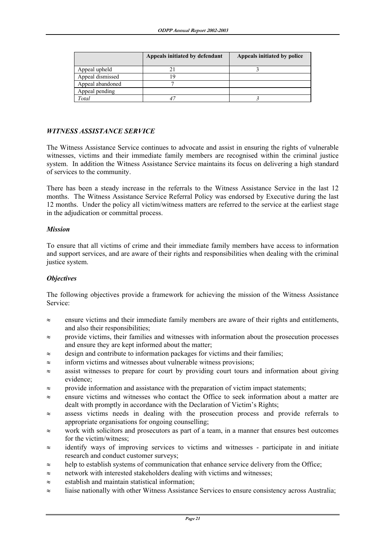|                  | Appeals initiated by defendant | Appeals initiated by police |
|------------------|--------------------------------|-----------------------------|
| Appeal upheld    |                                |                             |
| Appeal dismissed |                                |                             |
| Appeal abandoned |                                |                             |
| Appeal pending   |                                |                             |
| Total            |                                |                             |

#### *WITNESS ASSISTANCE SERVICE*

The Witness Assistance Service continues to advocate and assist in ensuring the rights of vulnerable witnesses, victims and their immediate family members are recognised within the criminal justice system. In addition the Witness Assistance Service maintains its focus on delivering a high standard of services to the community.

There has been a steady increase in the referrals to the Witness Assistance Service in the last 12 months. The Witness Assistance Service Referral Policy was endorsed by Executive during the last 12 months. Under the policy all victim/witness matters are referred to the service at the earliest stage in the adjudication or committal process.

#### *Mission*

To ensure that all victims of crime and their immediate family members have access to information and support services, and are aware of their rights and responsibilities when dealing with the criminal justice system.

#### *Objectives*

The following objectives provide a framework for achieving the mission of the Witness Assistance Service:

- ≈ ensure victims and their immediate family members are aware of their rights and entitlements, and also their responsibilities;
- ≈ provide victims, their families and witnesses with information about the prosecution processes and ensure they are kept informed about the matter;
- $\approx$  design and contribute to information packages for victims and their families;
- ≈ inform victims and witnesses about vulnerable witness provisions;
- ≈ assist witnesses to prepare for court by providing court tours and information about giving evidence;
- ≈ provide information and assistance with the preparation of victim impact statements;
- ≈ ensure victims and witnesses who contact the Office to seek information about a matter are dealt with promptly in accordance with the Declaration of Victim's Rights;
- ≈ assess victims needs in dealing with the prosecution process and provide referrals to appropriate organisations for ongoing counselling;
- ≈ work with solicitors and prosecutors as part of a team, in a manner that ensures best outcomes for the victim/witness;
- ≈ identify ways of improving services to victims and witnesses participate in and initiate research and conduct customer surveys;
- ≈ help to establish systems of communication that enhance service delivery from the Office;
- ≈ network with interested stakeholders dealing with victims and witnesses;
- ≈ establish and maintain statistical information;
- ≈ liaise nationally with other Witness Assistance Services to ensure consistency across Australia;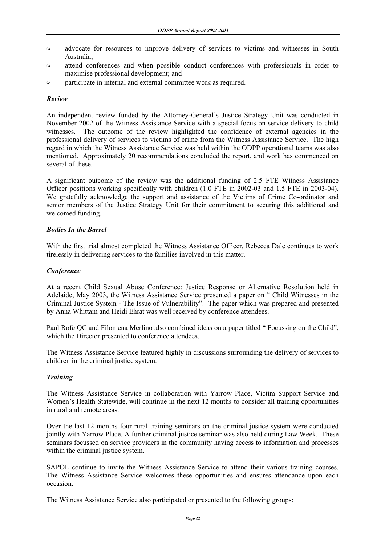- ≈ advocate for resources to improve delivery of services to victims and witnesses in South Australia;
- ≈ attend conferences and when possible conduct conferences with professionals in order to maximise professional development; and
- ≈ participate in internal and external committee work as required.

#### *Review*

An independent review funded by the Attorney-General's Justice Strategy Unit was conducted in November 2002 of the Witness Assistance Service with a special focus on service delivery to child witnesses. The outcome of the review highlighted the confidence of external agencies in the professional delivery of services to victims of crime from the Witness Assistance Service. The high regard in which the Witness Assistance Service was held within the ODPP operational teams was also mentioned. Approximately 20 recommendations concluded the report, and work has commenced on several of these.

A significant outcome of the review was the additional funding of 2.5 FTE Witness Assistance Officer positions working specifically with children (1.0 FTE in 2002-03 and 1.5 FTE in 2003-04). We gratefully acknowledge the support and assistance of the Victims of Crime Co-ordinator and senior members of the Justice Strategy Unit for their commitment to securing this additional and welcomed funding.

#### *Bodies In the Barrel*

With the first trial almost completed the Witness Assistance Officer, Rebecca Dale continues to work tirelessly in delivering services to the families involved in this matter.

#### *Conference*

At a recent Child Sexual Abuse Conference: Justice Response or Alternative Resolution held in Adelaide, May 2003, the Witness Assistance Service presented a paper on " Child Witnesses in the Criminal Justice System - The Issue of Vulnerability". The paper which was prepared and presented by Anna Whittam and Heidi Ehrat was well received by conference attendees.

Paul Rofe QC and Filomena Merlino also combined ideas on a paper titled " Focussing on the Child", which the Director presented to conference attendees.

The Witness Assistance Service featured highly in discussions surrounding the delivery of services to children in the criminal justice system.

#### *Training*

The Witness Assistance Service in collaboration with Yarrow Place, Victim Support Service and Women's Health Statewide, will continue in the next 12 months to consider all training opportunities in rural and remote areas.

Over the last 12 months four rural training seminars on the criminal justice system were conducted jointly with Yarrow Place. A further criminal justice seminar was also held during Law Week. These seminars focussed on service providers in the community having access to information and processes within the criminal justice system.

SAPOL continue to invite the Witness Assistance Service to attend their various training courses. The Witness Assistance Service welcomes these opportunities and ensures attendance upon each occasion.

The Witness Assistance Service also participated or presented to the following groups: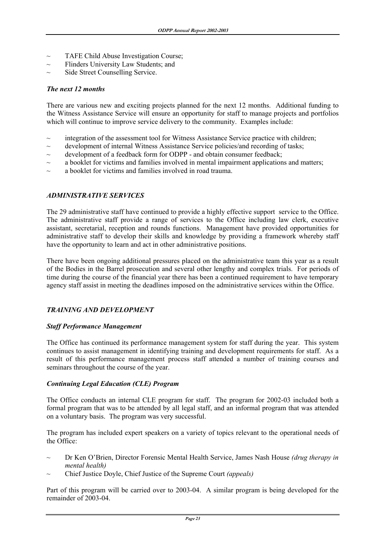- ~ TAFE Child Abuse Investigation Course;
- Flinders University Law Students; and
- Side Street Counselling Service.

#### *The next 12 months*

There are various new and exciting projects planned for the next 12 months. Additional funding to the Witness Assistance Service will ensure an opportunity for staff to manage projects and portfolios which will continue to improve service delivery to the community. Examples include:

- integration of the assessment tool for Witness Assistance Service practice with children;
- $\sim$  development of internal Witness Assistance Service policies/and recording of tasks;
- $\sim$  development of a feedback form for ODPP and obtain consumer feedback;
- $\sim$  a booklet for victims and families involved in mental impairment applications and matters;
- a booklet for victims and families involved in road trauma.

#### *ADMINISTRATIVE SERVICES*

The 29 administrative staff have continued to provide a highly effective support service to the Office. The administrative staff provide a range of services to the Office including law clerk, executive assistant, secretarial, reception and rounds functions. Management have provided opportunities for administrative staff to develop their skills and knowledge by providing a framework whereby staff have the opportunity to learn and act in other administrative positions.

There have been ongoing additional pressures placed on the administrative team this year as a result of the Bodies in the Barrel prosecution and several other lengthy and complex trials. For periods of time during the course of the financial year there has been a continued requirement to have temporary agency staff assist in meeting the deadlines imposed on the administrative services within the Office.

# *TRAINING AND DEVELOPMENT*

#### *Staff Performance Management*

The Office has continued its performance management system for staff during the year. This system continues to assist management in identifying training and development requirements for staff. As a result of this performance management process staff attended a number of training courses and seminars throughout the course of the year.

#### *Continuing Legal Education (CLE) Program*

The Office conducts an internal CLE program for staff. The program for 2002-03 included both a formal program that was to be attended by all legal staff, and an informal program that was attended on a voluntary basis. The program was very successful.

The program has included expert speakers on a variety of topics relevant to the operational needs of the Office:

- ~ Dr Ken O'Brien, Director Forensic Mental Health Service, James Nash House *(drug therapy in mental health)*
- ~ Chief Justice Doyle, Chief Justice of the Supreme Court *(appeals)*

Part of this program will be carried over to 2003-04. A similar program is being developed for the remainder of 2003-04.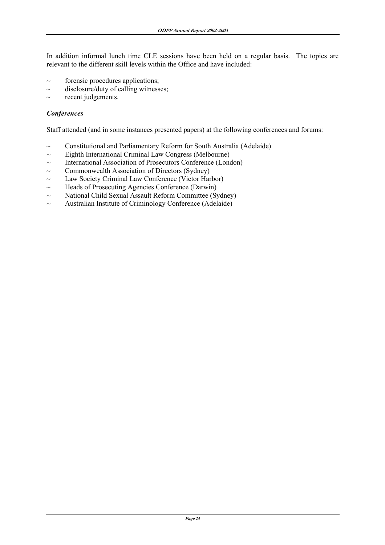In addition informal lunch time CLE sessions have been held on a regular basis. The topics are relevant to the different skill levels within the Office and have included:

- $\sim$  forensic procedures applications;
- $\sim$  disclosure/duty of calling witnesses;
- $\sim$  recent judgements.

#### *Conferences*

Staff attended (and in some instances presented papers) at the following conferences and forums:

- $\sim$  Constitutional and Parliamentary Reform for South Australia (Adelaide)
- $\sim$  Eighth International Criminal Law Congress (Melbourne)
- ~ International Association of Prosecutors Conference (London)
- $\sim$  Commonwealth Association of Directors (Sydney)
- ~ Law Society Criminal Law Conference (Victor Harbor)
- $\sim$  Heads of Prosecuting Agencies Conference (Darwin)
- $\sim$  National Child Sexual Assault Reform Committee (Sydney)
- $\sim$  Australian Institute of Criminology Conference (Adelaide)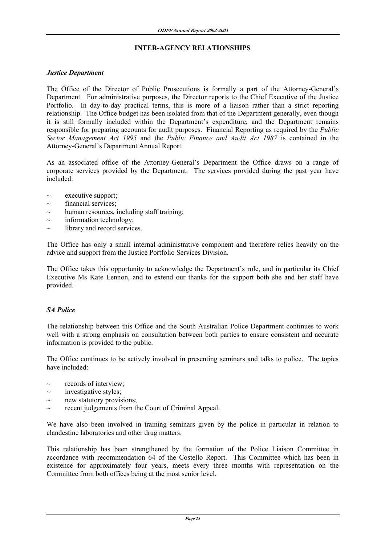#### **INTER-AGENCY RELATIONSHIPS**

#### *Justice Department*

The Office of the Director of Public Prosecutions is formally a part of the Attorney-General's Department. For administrative purposes, the Director reports to the Chief Executive of the Justice Portfolio. In day-to-day practical terms, this is more of a liaison rather than a strict reporting relationship. The Office budget has been isolated from that of the Department generally, even though it is still formally included within the Department's expenditure, and the Department remains responsible for preparing accounts for audit purposes. Financial Reporting as required by the *Public Sector Management Act 1995* and the *Public Finance and Audit Act 1987* is contained in the Attorney-General's Department Annual Report.

As an associated office of the Attorney-General's Department the Office draws on a range of corporate services provided by the Department. The services provided during the past year have included:

- executive support;
- financial services:
- $\sim$  human resources, including staff training;
- $\sim$  information technology;
- $\sim$  library and record services.

The Office has only a small internal administrative component and therefore relies heavily on the advice and support from the Justice Portfolio Services Division.

The Office takes this opportunity to acknowledge the Department's role, and in particular its Chief Executive Ms Kate Lennon, and to extend our thanks for the support both she and her staff have provided.

# *SA Police*

The relationship between this Office and the South Australian Police Department continues to work well with a strong emphasis on consultation between both parties to ensure consistent and accurate information is provided to the public.

The Office continues to be actively involved in presenting seminars and talks to police. The topics have included:

- records of interview;
- investigative styles;
- $\sim$  new statutory provisions;
- $\sim$  recent judgements from the Court of Criminal Appeal.

We have also been involved in training seminars given by the police in particular in relation to clandestine laboratories and other drug matters.

This relationship has been strengthened by the formation of the Police Liaison Committee in accordance with recommendation 64 of the Costello Report. This Committee which has been in existence for approximately four years, meets every three months with representation on the Committee from both offices being at the most senior level.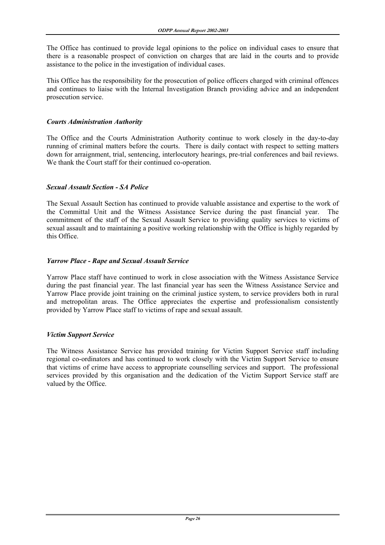The Office has continued to provide legal opinions to the police on individual cases to ensure that there is a reasonable prospect of conviction on charges that are laid in the courts and to provide assistance to the police in the investigation of individual cases.

This Office has the responsibility for the prosecution of police officers charged with criminal offences and continues to liaise with the Internal Investigation Branch providing advice and an independent prosecution service.

#### *Courts Administration Authority*

The Office and the Courts Administration Authority continue to work closely in the day-to-day running of criminal matters before the courts. There is daily contact with respect to setting matters down for arraignment, trial, sentencing, interlocutory hearings, pre-trial conferences and bail reviews. We thank the Court staff for their continued co-operation.

#### *Sexual Assault Section - SA Police*

The Sexual Assault Section has continued to provide valuable assistance and expertise to the work of the Committal Unit and the Witness Assistance Service during the past financial year. The commitment of the staff of the Sexual Assault Service to providing quality services to victims of sexual assault and to maintaining a positive working relationship with the Office is highly regarded by this Office.

#### *Yarrow Place - Rape and Sexual Assault Service*

Yarrow Place staff have continued to work in close association with the Witness Assistance Service during the past financial year. The last financial year has seen the Witness Assistance Service and Yarrow Place provide joint training on the criminal justice system, to service providers both in rural and metropolitan areas. The Office appreciates the expertise and professionalism consistently provided by Yarrow Place staff to victims of rape and sexual assault.

#### *Victim Support Service*

The Witness Assistance Service has provided training for Victim Support Service staff including regional co-ordinators and has continued to work closely with the Victim Support Service to ensure that victims of crime have access to appropriate counselling services and support. The professional services provided by this organisation and the dedication of the Victim Support Service staff are valued by the Office.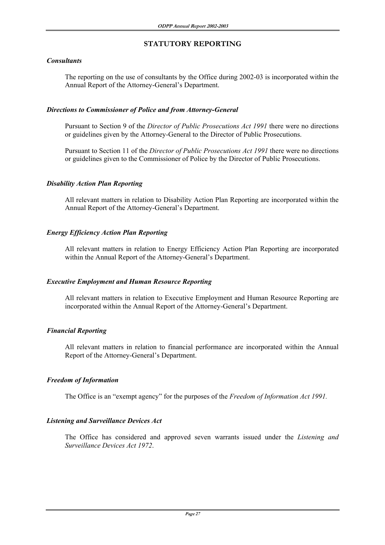# **STATUTORY REPORTING**

# *Consultants*

 The reporting on the use of consultants by the Office during 2002-03 is incorporated within the Annual Report of the Attorney-General's Department.

# *Directions to Commissioner of Police and from Attorney-General*

 Pursuant to Section 9 of the *Director of Public Prosecutions Act 1991* there were no directions or guidelines given by the Attorney-General to the Director of Public Prosecutions.

 Pursuant to Section 11 of the *Director of Public Prosecutions Act 1991* there were no directions or guidelines given to the Commissioner of Police by the Director of Public Prosecutions.

# *Disability Action Plan Reporting*

 All relevant matters in relation to Disability Action Plan Reporting are incorporated within the Annual Report of the Attorney-General's Department.

# *Energy Efficiency Action Plan Reporting*

All relevant matters in relation to Energy Efficiency Action Plan Reporting are incorporated within the Annual Report of the Attorney-General's Department.

# *Executive Employment and Human Resource Reporting*

 All relevant matters in relation to Executive Employment and Human Resource Reporting are incorporated within the Annual Report of the Attorney-General's Department.

# *Financial Reporting*

 All relevant matters in relation to financial performance are incorporated within the Annual Report of the Attorney-General's Department.

# *Freedom of Information*

The Office is an "exempt agency" for the purposes of the *Freedom of Information Act 1991.* 

# *Listening and Surveillance Devices Act*

The Office has considered and approved seven warrants issued under the *Listening and Surveillance Devices Act 1972*.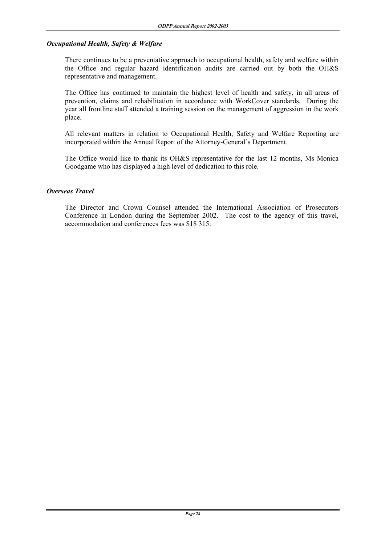#### *Occupational Health, Safety & Welfare*

 There continues to be a preventative approach to occupational health, safety and welfare within the Office and regular hazard identification audits are carried out by both the OH&S representative and management.

 The Office has continued to maintain the highest level of health and safety, in all areas of prevention, claims and rehabilitation in accordance with WorkCover standards. During the year all frontline staff attended a training session on the management of aggression in the work place.

 All relevant matters in relation to Occupational Health, Safety and Welfare Reporting are incorporated within the Annual Report of the Attorney-General's Department.

 The Office would like to thank its OH&S representative for the last 12 months, Ms Monica Goodgame who has displayed a high level of dedication to this role.

#### *Overseas Travel*

The Director and Crown Counsel attended the International Association of Prosecutors Conference in London during the September 2002. The cost to the agency of this travel, accommodation and conferences fees was \$18 315.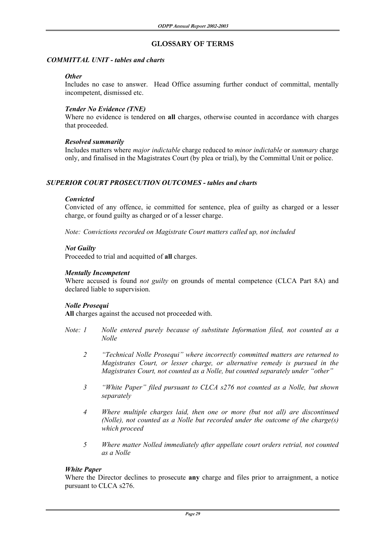# **GLOSSARY OF TERMS**

#### *COMMITTAL UNIT - tables and charts*

#### *Other*

Includes no case to answer. Head Office assuming further conduct of committal, mentally incompetent, dismissed etc.

# *Tender No Evidence (TNE)*

Where no evidence is tendered on **all** charges, otherwise counted in accordance with charges that proceeded.

#### *Resolved summarily*

 Includes matters where *major indictable* charge reduced to *minor indictable* or *summary* charge only, and finalised in the Magistrates Court (by plea or trial), by the Committal Unit or police.

# *SUPERIOR COURT PROSECUTION OUTCOMES - tables and charts*

#### *Convicted*

 Convicted of any offence, ie committed for sentence, plea of guilty as charged or a lesser charge, or found guilty as charged or of a lesser charge.

*Note: Convictions recorded on Magistrate Court matters called up, not included*

#### *Not Guilty*

Proceeded to trial and acquitted of **all** charges.

#### *Mentally Incompetent*

 Where accused is found *not guilty* on grounds of mental competence (CLCA Part 8A) and declared liable to supervision.

# *Nolle Prosequi*

**All** charges against the accused not proceeded with.

- *Note: 1 Nolle entered purely because of substitute Information filed, not counted as a Nolle* 
	- *2 "Technical Nolle Prosequi" where incorrectly committed matters are returned to Magistrates Court, or lesser charge, or alternative remedy is pursued in the Magistrates Court, not counted as a Nolle, but counted separately under "other"*
	- *3 "White Paper" filed pursuant to CLCA s276 not counted as a Nolle, but shown separately*
	- *4 Where multiple charges laid, then one or more (but not all) are discontinued (Nolle), not counted as a Nolle but recorded under the outcome of the charge(s) which proceed*
	- *5 Where matter Nolled immediately after appellate court orders retrial, not counted as a Nolle*

#### *White Paper*

 Where the Director declines to prosecute **any** charge and files prior to arraignment, a notice pursuant to CLCA s276.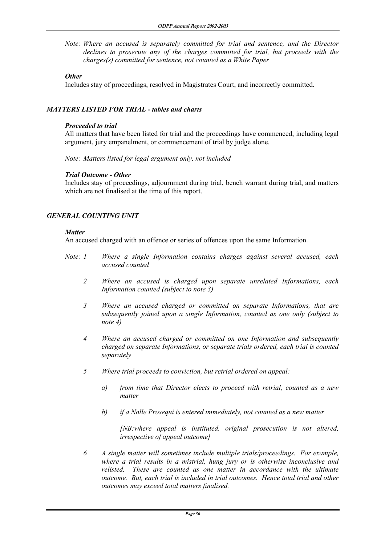*Note: Where an accused is separately committed for trial and sentence, and the Director declines to prosecute any of the charges committed for trial, but proceeds with the charges(s) committed for sentence, not counted as a White Paper* 

#### *Other*

Includes stay of proceedings, resolved in Magistrates Court, and incorrectly committed.

# *MATTERS LISTED FOR TRIAL - tables and charts*

#### *Proceeded to trial*

All matters that have been listed for trial and the proceedings have commenced, including legal argument, jury empanelment, or commencement of trial by judge alone.

*Note: Matters listed for legal argument only, not included* 

#### *Trial Outcome - Other*

Includes stay of proceedings, adjournment during trial, bench warrant during trial, and matters which are not finalised at the time of this report.

# *GENERAL COUNTING UNIT*

#### *Matter*

An accused charged with an offence or series of offences upon the same Information.

- *Note: 1 Where a single Information contains charges against several accused, each accused counted* 
	- *2 Where an accused is charged upon separate unrelated Informations, each Information counted (subject to note 3)*
	- *3 Where an accused charged or committed on separate Informations, that are subsequently joined upon a single Information, counted as one only (subject to note 4)*
	- *4 Where an accused charged or committed on one Information and subsequently charged on separate Informations, or separate trials ordered, each trial is counted separately*
	- *5 Where trial proceeds to conviction, but retrial ordered on appeal:* 
		- *a) from time that Director elects to proceed with retrial, counted as a new matter*
		- *b) if a Nolle Prosequi is entered immediately, not counted as a new matter*

 *[NB:where appeal is instituted, original prosecution is not altered, irrespective of appeal outcome]* 

 *6 A single matter will sometimes include multiple trials/proceedings. For example, where a trial results in a mistrial, hung jury or is otherwise inconclusive and relisted. These are counted as one matter in accordance with the ultimate outcome. But, each trial is included in trial outcomes. Hence total trial and other outcomes may exceed total matters finalised.*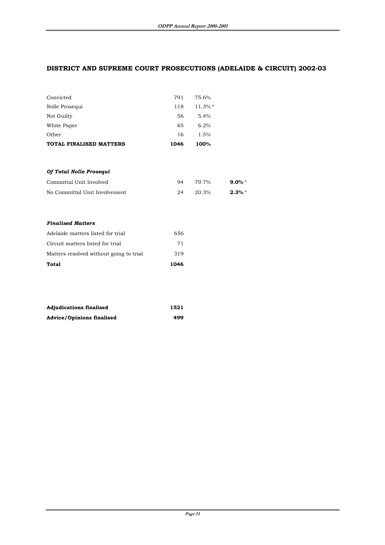# **DISTRICT AND SUPREME COURT PROSECUTIONS (ADELAIDE & CIRCUIT) 2002-03**

| Convicted               | 791  | 75.6%      |  |
|-------------------------|------|------------|--|
| Nolle Prosequi          | 118  | $11.3\%$ * |  |
| Not Guilty              | 56   | 5.4%       |  |
| White Paper             | 65   | 6.2%       |  |
| Other                   | 16   | 1.5%       |  |
| TOTAL FINALISED MATTERS | 1046 | 100%       |  |
|                         |      |            |  |
|                         |      |            |  |

| Of Total Nolle Prosequi       |    |       |           |  |
|-------------------------------|----|-------|-----------|--|
| Committal Unit Involved       | 94 | 79.7% | 9.0% $*$  |  |
| No Committal Unit Involvement | 24 | 20.3% | $2.3\% *$ |  |

#### *Finalised Matters*

| Total                                   | 1046 |
|-----------------------------------------|------|
| Matters resolved without going to trial | 319  |
| Circuit matters listed for trial        | 71   |
| Adelaide matters listed for trial       | 656  |

| <b>Adjudications finalised</b>   | 1521 |
|----------------------------------|------|
| <b>Advice/Opinions finalised</b> | 499  |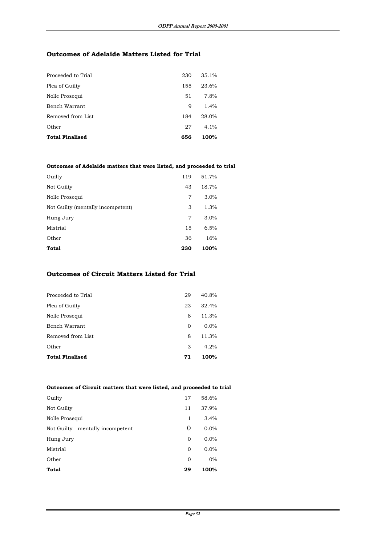# **Outcomes of Adelaide Matters Listed for Trial**

| Proceeded to Trial     | 230 | 35.1%   |
|------------------------|-----|---------|
| Plea of Guilty         | 155 | 23.6%   |
| Nolle Prosequi         | 51  | 7.8%    |
| Bench Warrant          | 9   | $1.4\%$ |
| Removed from List      | 184 | 28.0%   |
| Other                  | 27  | $4.1\%$ |
| <b>Total Finalised</b> | 656 | 100%    |

#### **Outcomes of Adelaide matters that were listed, and proceeded to trial**

| Guilty                            | 119 | 51.7% |
|-----------------------------------|-----|-------|
| Not Guilty                        | 43  | 18.7% |
| Nolle Prosequi                    | 7   | 3.0%  |
| Not Guilty (mentally incompetent) | 3   | 1.3%  |
| Hung Jury                         | 7   | 3.0%  |
| Mistrial                          | 15  | 6.5%  |
| Other                             | 36  | 16%   |
| Total                             | 230 | 100%  |

#### **Outcomes of Circuit Matters Listed for Trial**

| Proceeded to Trial     | 29       | 40.8%   |
|------------------------|----------|---------|
| Plea of Guilty         | 23       | 32.4%   |
| Nolle Prosequi         | 8        | 11.3%   |
| Bench Warrant          | $\Omega$ | $0.0\%$ |
| Removed from List      | 8        | 11.3%   |
| Other                  | 3        | 4.2%    |
| <b>Total Finalised</b> | 71       | 100%    |

#### **Outcomes of Circuit matters that were listed, and proceeded to trial**

| <b>Total</b>                      | 29       | 100%  |
|-----------------------------------|----------|-------|
| Other                             | $\Omega$ | $0\%$ |
| Mistrial                          | $\Omega$ | 0.0%  |
| Hung Jury                         | $\Omega$ | 0.0%  |
| Not Guilty - mentally incompetent | 0        | 0.0%  |
| Nolle Prosequi                    | 1        | 3.4%  |
| Not Guilty                        | 11       | 37.9% |
| Guilty                            | 17       | 58.6% |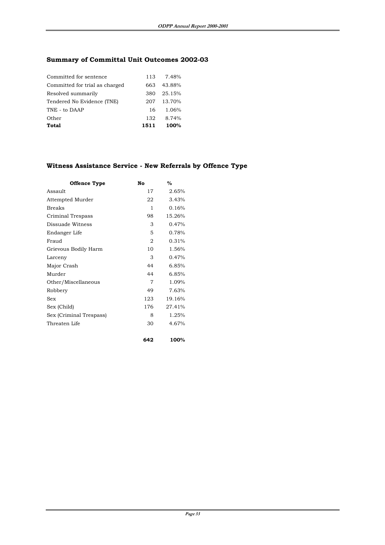# **Summary of Committal Unit Outcomes 2002-03**

| Committed for sentence         |      | 113 7.48% |
|--------------------------------|------|-----------|
| Committed for trial as charged | 663  | 43.88%    |
| Resolved summarily             | 380  | 25.15%    |
| Tendered No Evidence (TNE)     | 207  | 13.70%    |
| TNE - to DAAP                  | 16.  | 1.06%     |
| Other                          | 132  | 8.74%     |
| Total                          | 1511 | 100%      |

# **Witness Assistance Service - New Referrals by Offence Type**

**642 100%**

| Offence Type            | No  | $\frac{6}{2}$ |
|-------------------------|-----|---------------|
| Assault                 | 17  | 2.65%         |
| Attempted Murder        | 22  | 3.43%         |
| <b>Breaks</b>           | 1   | 0.16%         |
| Criminal Trespass       | 98  | 15.26%        |
| Dissuade Witness        | 3   | 0.47%         |
| Endanger Life           | 5   | 0.78%         |
| Fraud                   | 2   | 0.31%         |
| Grievous Bodily Harm    | 10  | 1.56%         |
| Larceny                 | 3   | 0.47%         |
| Major Crash             | 44  | 6.85%         |
| Murder                  | 44  | 6.85%         |
| Other/Miscellaneous     | 7   | 1.09%         |
| Robbery                 | 49  | 7.63%         |
| Sex                     | 123 | 19.16%        |
| Sex (Child)             | 176 | 27.41%        |
| Sex (Criminal Trespass) | 8   | 1.25%         |
| Threaten Life           | 30  | 4.67%         |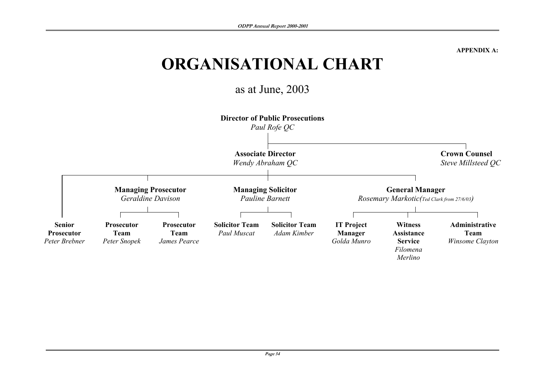**APPENDIX A:** 

# **ORGANISATIONAL CHART**

as at June, 2003

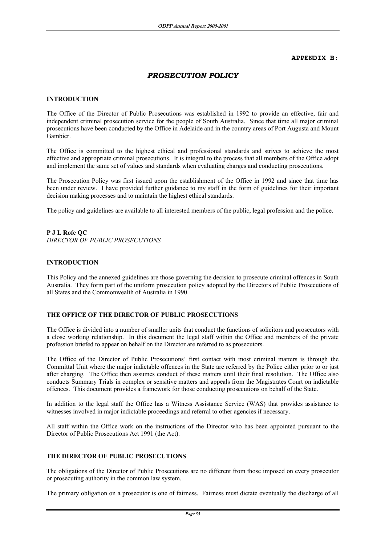#### **APPENDIX B:**

# *PROSECUTION POLICY*

#### **INTRODUCTION**

The Office of the Director of Public Prosecutions was established in 1992 to provide an effective, fair and independent criminal prosecution service for the people of South Australia. Since that time all major criminal prosecutions have been conducted by the Office in Adelaide and in the country areas of Port Augusta and Mount Gambier.

The Office is committed to the highest ethical and professional standards and strives to achieve the most effective and appropriate criminal prosecutions. It is integral to the process that all members of the Office adopt and implement the same set of values and standards when evaluating charges and conducting prosecutions.

The Prosecution Policy was first issued upon the establishment of the Office in 1992 and since that time has been under review. I have provided further guidance to my staff in the form of guidelines for their important decision making processes and to maintain the highest ethical standards.

The policy and guidelines are available to all interested members of the public, legal profession and the police.

#### **P J L Rofe QC**

*DIRECTOR OF PUBLIC PROSECUTIONS*

#### **INTRODUCTION**

This Policy and the annexed guidelines are those governing the decision to prosecute criminal offences in South Australia. They form part of the uniform prosecution policy adopted by the Directors of Public Prosecutions of all States and the Commonwealth of Australia in 1990.

#### **THE OFFICE OF THE DIRECTOR OF PUBLIC PROSECUTIONS**

The Office is divided into a number of smaller units that conduct the functions of solicitors and prosecutors with a close working relationship. In this document the legal staff within the Office and members of the private profession briefed to appear on behalf on the Director are referred to as prosecutors.

The Office of the Director of Public Prosecutions' first contact with most criminal matters is through the Committal Unit where the major indictable offences in the State are referred by the Police either prior to or just after charging. The Office then assumes conduct of these matters until their final resolution. The Office also conducts Summary Trials in complex or sensitive matters and appeals from the Magistrates Court on indictable offences. This document provides a framework for those conducting prosecutions on behalf of the State.

In addition to the legal staff the Office has a Witness Assistance Service (WAS) that provides assistance to witnesses involved in major indictable proceedings and referral to other agencies if necessary.

All staff within the Office work on the instructions of the Director who has been appointed pursuant to the Director of Public Prosecutions Act 1991 (the Act).

#### **THE DIRECTOR OF PUBLIC PROSECUTIONS**

The obligations of the Director of Public Prosecutions are no different from those imposed on every prosecutor or prosecuting authority in the common law system.

The primary obligation on a prosecutor is one of fairness. Fairness must dictate eventually the discharge of all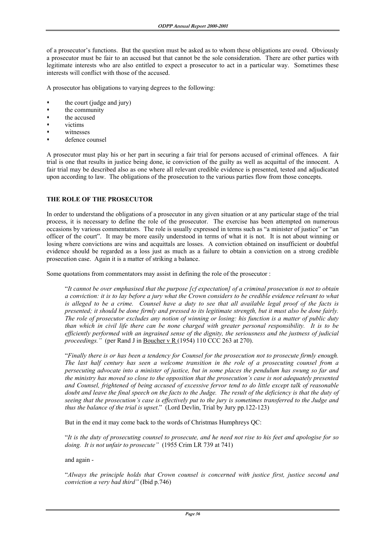of a prosecutor's functions. But the question must be asked as to whom these obligations are owed. Obviously a prosecutor must be fair to an accused but that cannot be the sole consideration. There are other parties with legitimate interests who are also entitled to expect a prosecutor to act in a particular way. Sometimes these interests will conflict with those of the accused.

A prosecutor has obligations to varying degrees to the following:

- the court (judge and jury)
- the community
- the accused
- victims
- witnesses
- defence counsel

A prosecutor must play his or her part in securing a fair trial for persons accused of criminal offences. A fair trial is one that results in justice being done, ie conviction of the guilty as well as acquittal of the innocent. A fair trial may be described also as one where all relevant credible evidence is presented, tested and adjudicated upon according to law. The obligations of the prosecution to the various parties flow from those concepts.

#### **THE ROLE OF THE PROSECUTOR**

In order to understand the obligations of a prosecutor in any given situation or at any particular stage of the trial process, it is necessary to define the role of the prosecutor. The exercise has been attempted on numerous occasions by various commentators. The role is usually expressed in terms such as "a minister of justice" or "an officer of the court". It may be more easily understood in terms of what it is not. It is not about winning or losing where convictions are wins and acquittals are losses. A conviction obtained on insufficient or doubtful evidence should be regarded as a loss just as much as a failure to obtain a conviction on a strong credible prosecution case. Again it is a matter of striking a balance.

Some quotations from commentators may assist in defining the role of the prosecutor :

 "*It cannot be over emphasised that the purpose [cf expectation] of a criminal prosecution is not to obtain a conviction: it is to lay before a jury what the Crown considers to be credible evidence relevant to what is alleged to be a crime. Counsel have a duty to see that all available legal proof of the facts is presented; it should be done firmly and pressed to its legitimate strength, but it must also be done fairly. The role of prosecutor excludes any notion of winning or losing: his function is a matter of public duty than which in civil life there can be none charged with greater personal responsibility. It is to be efficiently performed with an ingrained sense of the dignity, the seriousness and the justness of judicial proceedings."* (per Rand J in Boucher v R (1954) 110 CCC 263 at 270).

 "*Finally there is or has been a tendency for Counsel for the prosecution not to prosecute firmly enough. The last half century has seen a welcome transition in the role of a prosecuting counsel from a persecuting advocate into a minister of justice, but in some places the pendulum has swung so far and the ministry has moved so close to the opposition that the prosecution's case is not adequately presented and Counsel, frightened of being accused of excessive fervor tend to do little except talk of reasonable doubt and leave the final speech on the facts to the Judge. The result of the deficiency is that the duty of seeing that the prosecution's case is effectively put to the jury is sometimes transferred to the Judge and thus the balance of the trial is upset*." (Lord Devlin, Trial by Jury pp.122-123)

But in the end it may come back to the words of Christmas Humphreys QC:

 "*It is the duty of prosecuting counsel to prosecute, and he need not rise to his feet and apologise for so doing. It is not unfair to prosecute"* (1955 Crim LR 739 at 741)

#### and again -

 "*Always the principle holds that Crown counsel is concerned with justice first, justice second and conviction a very bad third"* (Ibid p.746)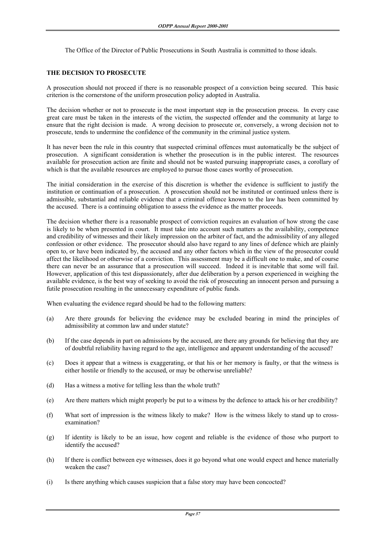The Office of the Director of Public Prosecutions in South Australia is committed to those ideals.

#### **THE DECISION TO PROSECUTE**

A prosecution should not proceed if there is no reasonable prospect of a conviction being secured. This basic criterion is the cornerstone of the uniform prosecution policy adopted in Australia.

The decision whether or not to prosecute is the most important step in the prosecution process. In every case great care must be taken in the interests of the victim, the suspected offender and the community at large to ensure that the right decision is made. A wrong decision to prosecute or, conversely, a wrong decision not to prosecute, tends to undermine the confidence of the community in the criminal justice system.

It has never been the rule in this country that suspected criminal offences must automatically be the subject of prosecution. A significant consideration is whether the prosecution is in the public interest. The resources available for prosecution action are finite and should not be wasted pursuing inappropriate cases, a corollary of which is that the available resources are employed to pursue those cases worthy of prosecution.

The initial consideration in the exercise of this discretion is whether the evidence is sufficient to justify the institution or continuation of a prosecution. A prosecution should not be instituted or continued unless there is admissible, substantial and reliable evidence that a criminal offence known to the law has been committed by the accused. There is a continuing obligation to assess the evidence as the matter proceeds.

The decision whether there is a reasonable prospect of conviction requires an evaluation of how strong the case is likely to be when presented in court. It must take into account such matters as the availability, competence and credibility of witnesses and their likely impression on the arbiter of fact, and the admissibility of any alleged confession or other evidence. The prosecutor should also have regard to any lines of defence which are plainly open to, or have been indicated by, the accused and any other factors which in the view of the prosecutor could affect the likelihood or otherwise of a conviction. This assessment may be a difficult one to make, and of course there can never be an assurance that a prosecution will succeed. Indeed it is inevitable that some will fail. However, application of this test dispassionately, after due deliberation by a person experienced in weighing the available evidence, is the best way of seeking to avoid the risk of prosecuting an innocent person and pursuing a futile prosecution resulting in the unnecessary expenditure of public funds.

When evaluating the evidence regard should be had to the following matters:

- (a) Are there grounds for believing the evidence may be excluded bearing in mind the principles of admissibility at common law and under statute?
- (b) If the case depends in part on admissions by the accused, are there any grounds for believing that they are of doubtful reliability having regard to the age, intelligence and apparent understanding of the accused?
- (c) Does it appear that a witness is exaggerating, or that his or her memory is faulty, or that the witness is either hostile or friendly to the accused, or may be otherwise unreliable?
- (d) Has a witness a motive for telling less than the whole truth?
- (e) Are there matters which might properly be put to a witness by the defence to attack his or her credibility?
- (f) What sort of impression is the witness likely to make? How is the witness likely to stand up to crossexamination?
- (g) If identity is likely to be an issue, how cogent and reliable is the evidence of those who purport to identify the accused?
- (h) If there is conflict between eye witnesses, does it go beyond what one would expect and hence materially weaken the case?
- (i) Is there anything which causes suspicion that a false story may have been concocted?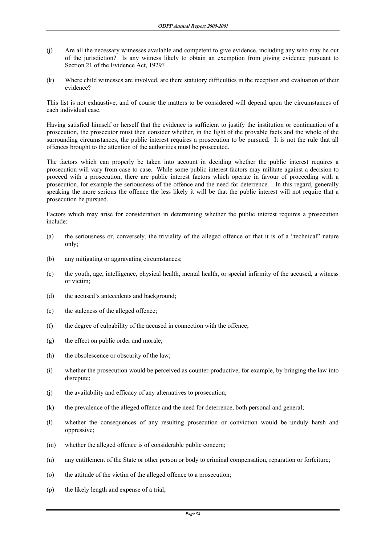- (j) Are all the necessary witnesses available and competent to give evidence, including any who may be out of the jurisdiction? Is any witness likely to obtain an exemption from giving evidence pursuant to Section 21 of the Evidence Act, 1929?
- (k) Where child witnesses are involved, are there statutory difficulties in the reception and evaluation of their evidence?

This list is not exhaustive, and of course the matters to be considered will depend upon the circumstances of each individual case.

Having satisfied himself or herself that the evidence is sufficient to justify the institution or continuation of a prosecution, the prosecutor must then consider whether, in the light of the provable facts and the whole of the surrounding circumstances, the public interest requires a prosecution to be pursued. It is not the rule that all offences brought to the attention of the authorities must be prosecuted.

The factors which can properly be taken into account in deciding whether the public interest requires a prosecution will vary from case to case. While some public interest factors may militate against a decision to proceed with a prosecution, there are public interest factors which operate in favour of proceeding with a prosecution, for example the seriousness of the offence and the need for deterrence. In this regard, generally speaking the more serious the offence the less likely it will be that the public interest will not require that a prosecution be pursued.

Factors which may arise for consideration in determining whether the public interest requires a prosecution include:

- (a) the seriousness or, conversely, the triviality of the alleged offence or that it is of a "technical" nature only;
- (b) any mitigating or aggravating circumstances;
- (c) the youth, age, intelligence, physical health, mental health, or special infirmity of the accused, a witness or victim;
- (d) the accused's antecedents and background;
- (e) the staleness of the alleged offence;
- (f) the degree of culpability of the accused in connection with the offence;
- (g) the effect on public order and morale;
- (h) the obsolescence or obscurity of the law;
- (i) whether the prosecution would be perceived as counter-productive, for example, by bringing the law into disrepute;
- (j) the availability and efficacy of any alternatives to prosecution;
- (k) the prevalence of the alleged offence and the need for deterrence, both personal and general;
- (l) whether the consequences of any resulting prosecution or conviction would be unduly harsh and oppressive;
- (m) whether the alleged offence is of considerable public concern;
- (n) any entitlement of the State or other person or body to criminal compensation, reparation or forfeiture;
- (o) the attitude of the victim of the alleged offence to a prosecution;
- (p) the likely length and expense of a trial;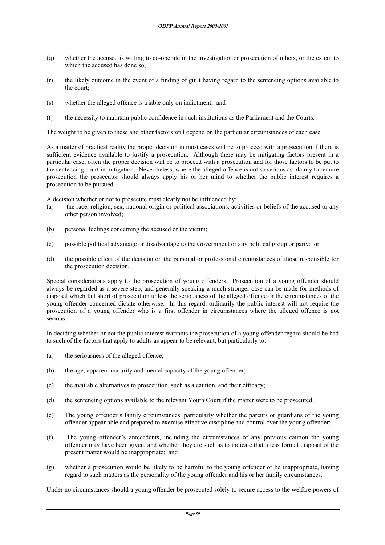- (q) whether the accused is willing to co-operate in the investigation or prosecution of others, or the extent to which the accused has done so;
- (r) the likely outcome in the event of a finding of guilt having regard to the sentencing options available to the court;
- (s) whether the alleged offence is triable only on indictment; and
- (t) the necessity to maintain public confidence in such institutions as the Parliament and the Courts.

The weight to be given to these and other factors will depend on the particular circumstances of each case.

As a matter of practical reality the proper decision in most cases will be to proceed with a prosecution if there is sufficient evidence available to justify a prosecution. Although there may be mitigating factors present in a particular case, often the proper decision will be to proceed with a prosecution and for those factors to be put to the sentencing court in mitigation. Nevertheless, where the alleged offence is not so serious as plainly to require prosecution the prosecutor should always apply his or her mind to whether the public interest requires a prosecution to be pursued.

A decision whether or not to prosecute must clearly not be influenced by:

- (a) the race, religion, sex, national origin or political associations, activities or beliefs of the accused or any other person involved;
- (b) personal feelings concerning the accused or the victim;
- (c) possible political advantage or disadvantage to the Government or any political group or party; or
- (d) the possible effect of the decision on the personal or professional circumstances of those responsible for the prosecution decision.

Special considerations apply to the prosecution of young offenders. Prosecution of a young offender should always be regarded as a severe step, and generally speaking a much stronger case can be made for methods of disposal which fall short of prosecution unless the seriousness of the alleged offence or the circumstances of the young offender concerned dictate otherwise. In this regard, ordinarily the public interest will not require the prosecution of a young offender who is a first offender in circumstances where the alleged offence is not serious.

In deciding whether or not the public interest warrants the prosecution of a young offender regard should be had to such of the factors that apply to adults as appear to be relevant, but particularly to:

- (a) the seriousness of the alleged offence;
- (b) the age, apparent maturity and mental capacity of the young offender;
- (c) the available alternatives to prosecution, such as a caution, and their efficacy;
- (d) the sentencing options available to the relevant Youth Court if the matter were to be prosecuted;
- (e) The young offender's family circumstances, particularly whether the parents or guardians of the young offender appear able and prepared to exercise effective discipline and control over the young offender;
- (f) The young offender's antecedents, including the circumstances of any previous caution the young offender may have been given, and whether they are such as to indicate that a less formal disposal of the present matter would be inappropriate; and
- (g) whether a prosecution would be likely to be harmful to the young offender or be inappropriate, having regard to such matters as the personality of the young offender and his or her family circumstances.

Under no circumstances should a young offender be prosecuted solely to secure access to the welfare powers of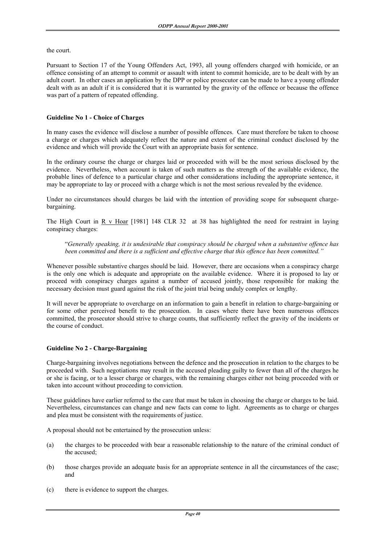the court.

Pursuant to Section 17 of the Young Offenders Act, 1993, all young offenders charged with homicide, or an offence consisting of an attempt to commit or assault with intent to commit homicide, are to be dealt with by an adult court. In other cases an application by the DPP or police prosecutor can be made to have a young offender dealt with as an adult if it is considered that it is warranted by the gravity of the offence or because the offence was part of a pattern of repeated offending.

#### **Guideline No 1 - Choice of Charges**

In many cases the evidence will disclose a number of possible offences. Care must therefore be taken to choose a charge or charges which adequately reflect the nature and extent of the criminal conduct disclosed by the evidence and which will provide the Court with an appropriate basis for sentence.

In the ordinary course the charge or charges laid or proceeded with will be the most serious disclosed by the evidence. Nevertheless, when account is taken of such matters as the strength of the available evidence, the probable lines of defence to a particular charge and other considerations including the appropriate sentence, it may be appropriate to lay or proceed with a charge which is not the most serious revealed by the evidence.

Under no circumstances should charges be laid with the intention of providing scope for subsequent chargebargaining.

The High Court in R v Hoar  $[1981]$  148 CLR 32 at 38 has highlighted the need for restraint in laying conspiracy charges:

 "*Generally speaking, it is undesirable that conspiracy should be charged when a substantive offence has been committed and there is a sufficient and effective charge that this offence has been committed."*

Whenever possible substantive charges should be laid. However, there are occasions when a conspiracy charge is the only one which is adequate and appropriate on the available evidence. Where it is proposed to lay or proceed with conspiracy charges against a number of accused jointly, those responsible for making the necessary decision must guard against the risk of the joint trial being unduly complex or lengthy.

It will never be appropriate to overcharge on an information to gain a benefit in relation to charge-bargaining or for some other perceived benefit to the prosecution. In cases where there have been numerous offences committed, the prosecutor should strive to charge counts, that sufficiently reflect the gravity of the incidents or the course of conduct.

#### **Guideline No 2 - Charge-Bargaining**

Charge-bargaining involves negotiations between the defence and the prosecution in relation to the charges to be proceeded with. Such negotiations may result in the accused pleading guilty to fewer than all of the charges he or she is facing, or to a lesser charge or charges, with the remaining charges either not being proceeded with or taken into account without proceeding to conviction.

These guidelines have earlier referred to the care that must be taken in choosing the charge or charges to be laid. Nevertheless, circumstances can change and new facts can come to light. Agreements as to charge or charges and plea must be consistent with the requirements of justice.

A proposal should not be entertained by the prosecution unless:

- (a) the charges to be proceeded with bear a reasonable relationship to the nature of the criminal conduct of the accused;
- (b) those charges provide an adequate basis for an appropriate sentence in all the circumstances of the case; and
- (c) there is evidence to support the charges.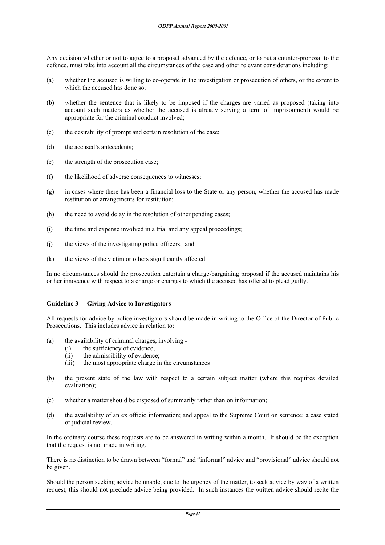Any decision whether or not to agree to a proposal advanced by the defence, or to put a counter-proposal to the defence, must take into account all the circumstances of the case and other relevant considerations including:

- (a) whether the accused is willing to co-operate in the investigation or prosecution of others, or the extent to which the accused has done so;
- (b) whether the sentence that is likely to be imposed if the charges are varied as proposed (taking into account such matters as whether the accused is already serving a term of imprisonment) would be appropriate for the criminal conduct involved;
- (c) the desirability of prompt and certain resolution of the case;
- (d) the accused's antecedents;
- (e) the strength of the prosecution case;
- (f) the likelihood of adverse consequences to witnesses;
- (g) in cases where there has been a financial loss to the State or any person, whether the accused has made restitution or arrangements for restitution;
- (h) the need to avoid delay in the resolution of other pending cases;
- (i) the time and expense involved in a trial and any appeal proceedings;
- (j) the views of the investigating police officers; and
- (k) the views of the victim or others significantly affected.

In no circumstances should the prosecution entertain a charge-bargaining proposal if the accused maintains his or her innocence with respect to a charge or charges to which the accused has offered to plead guilty.

#### **Guideline 3 - Giving Advice to Investigators**

All requests for advice by police investigators should be made in writing to the Office of the Director of Public Prosecutions. This includes advice in relation to:

- (a) the availability of criminal charges, involving
	- (i) the sufficiency of evidence;
	- (ii) the admissibility of evidence;
	- (iii) the most appropriate charge in the circumstances
- (b) the present state of the law with respect to a certain subject matter (where this requires detailed evaluation);
- (c) whether a matter should be disposed of summarily rather than on information;
- (d) the availability of an ex officio information; and appeal to the Supreme Court on sentence; a case stated or judicial review.

In the ordinary course these requests are to be answered in writing within a month. It should be the exception that the request is not made in writing.

There is no distinction to be drawn between "formal" and "informal" advice and "provisional" advice should not be given.

Should the person seeking advice be unable, due to the urgency of the matter, to seek advice by way of a written request, this should not preclude advice being provided. In such instances the written advice should recite the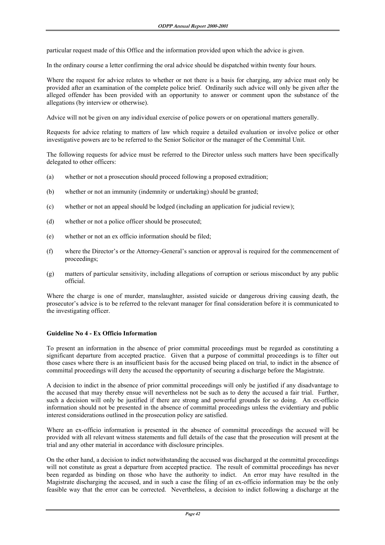particular request made of this Office and the information provided upon which the advice is given.

In the ordinary course a letter confirming the oral advice should be dispatched within twenty four hours.

Where the request for advice relates to whether or not there is a basis for charging, any advice must only be provided after an examination of the complete police brief. Ordinarily such advice will only be given after the alleged offender has been provided with an opportunity to answer or comment upon the substance of the allegations (by interview or otherwise).

Advice will not be given on any individual exercise of police powers or on operational matters generally.

Requests for advice relating to matters of law which require a detailed evaluation or involve police or other investigative powers are to be referred to the Senior Solicitor or the manager of the Committal Unit.

The following requests for advice must be referred to the Director unless such matters have been specifically delegated to other officers:

- (a) whether or not a prosecution should proceed following a proposed extradition;
- (b) whether or not an immunity (indemnity or undertaking) should be granted;
- (c) whether or not an appeal should be lodged (including an application for judicial review);
- (d) whether or not a police officer should be prosecuted;
- (e) whether or not an ex officio information should be filed;
- (f) where the Director's or the Attorney-General's sanction or approval is required for the commencement of proceedings;
- (g) matters of particular sensitivity, including allegations of corruption or serious misconduct by any public official.

Where the charge is one of murder, manslaughter, assisted suicide or dangerous driving causing death, the prosecutor's advice is to be referred to the relevant manager for final consideration before it is communicated to the investigating officer.

#### **Guideline No 4 - Ex Officio Information**

To present an information in the absence of prior committal proceedings must be regarded as constituting a significant departure from accepted practice. Given that a purpose of committal proceedings is to filter out those cases where there is an insufficient basis for the accused being placed on trial, to indict in the absence of committal proceedings will deny the accused the opportunity of securing a discharge before the Magistrate.

A decision to indict in the absence of prior committal proceedings will only be justified if any disadvantage to the accused that may thereby ensue will nevertheless not be such as to deny the accused a fair trial. Further, such a decision will only be justified if there are strong and powerful grounds for so doing. An ex-officio information should not be presented in the absence of committal proceedings unless the evidentiary and public interest considerations outlined in the prosecution policy are satisfied.

Where an ex-officio information is presented in the absence of committal proceedings the accused will be provided with all relevant witness statements and full details of the case that the prosecution will present at the trial and any other material in accordance with disclosure principles.

On the other hand, a decision to indict notwithstanding the accused was discharged at the committal proceedings will not constitute as great a departure from accepted practice. The result of committal proceedings has never been regarded as binding on those who have the authority to indict. An error may have resulted in the Magistrate discharging the accused, and in such a case the filing of an ex-officio information may be the only feasible way that the error can be corrected. Nevertheless, a decision to indict following a discharge at the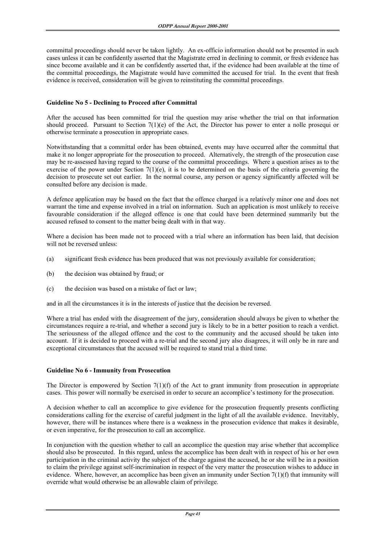committal proceedings should never be taken lightly. An ex-officio information should not be presented in such cases unless it can be confidently asserted that the Magistrate erred in declining to commit, or fresh evidence has since become available and it can be confidently asserted that, if the evidence had been available at the time of the committal proceedings, the Magistrate would have committed the accused for trial. In the event that fresh evidence is received, consideration will be given to reinstituting the committal proceedings.

#### **Guideline No 5 - Declining to Proceed after Committal**

After the accused has been committed for trial the question may arise whether the trial on that information should proceed. Pursuant to Section 7(1)(e) of the Act, the Director has power to enter a nolle prosequi or otherwise terminate a prosecution in appropriate cases.

Notwithstanding that a committal order has been obtained, events may have occurred after the committal that make it no longer appropriate for the prosecution to proceed. Alternatively, the strength of the prosecution case may be re-assessed having regard to the course of the committal proceedings. Where a question arises as to the exercise of the power under Section  $7(1)(e)$ , it is to be determined on the basis of the criteria governing the decision to prosecute set out earlier. In the normal course, any person or agency significantly affected will be consulted before any decision is made.

A defence application may be based on the fact that the offence charged is a relatively minor one and does not warrant the time and expense involved in a trial on information. Such an application is most unlikely to receive favourable consideration if the alleged offence is one that could have been determined summarily but the accused refused to consent to the matter being dealt with in that way.

Where a decision has been made not to proceed with a trial where an information has been laid, that decision will not be reversed unless:

- (a) significant fresh evidence has been produced that was not previously available for consideration;
- (b) the decision was obtained by fraud; or
- (c) the decision was based on a mistake of fact or law;

and in all the circumstances it is in the interests of justice that the decision be reversed.

Where a trial has ended with the disagreement of the jury, consideration should always be given to whether the circumstances require a re-trial, and whether a second jury is likely to be in a better position to reach a verdict. The seriousness of the alleged offence and the cost to the community and the accused should be taken into account. If it is decided to proceed with a re-trial and the second jury also disagrees, it will only be in rare and exceptional circumstances that the accused will be required to stand trial a third time.

#### **Guideline No 6 - Immunity from Prosecution**

The Director is empowered by Section  $7(1)(f)$  of the Act to grant immunity from prosecution in appropriate cases. This power will normally be exercised in order to secure an accomplice's testimony for the prosecution.

A decision whether to call an accomplice to give evidence for the prosecution frequently presents conflicting considerations calling for the exercise of careful judgment in the light of all the available evidence. Inevitably, however, there will be instances where there is a weakness in the prosecution evidence that makes it desirable, or even imperative, for the prosecution to call an accomplice.

In conjunction with the question whether to call an accomplice the question may arise whether that accomplice should also be prosecuted. In this regard, unless the accomplice has been dealt with in respect of his or her own participation in the criminal activity the subject of the charge against the accused, he or she will be in a position to claim the privilege against self-incrimination in respect of the very matter the prosecution wishes to adduce in evidence. Where, however, an accomplice has been given an immunity under Section 7(1)(f) that immunity will override what would otherwise be an allowable claim of privilege.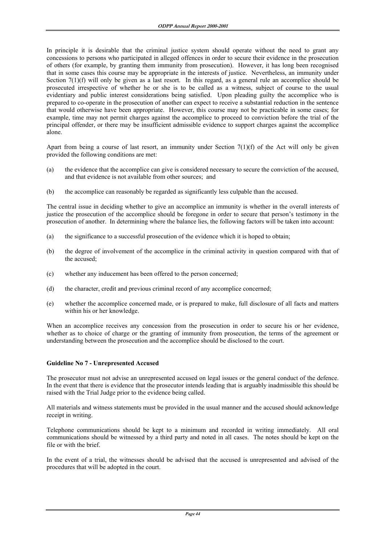In principle it is desirable that the criminal justice system should operate without the need to grant any concessions to persons who participated in alleged offences in order to secure their evidence in the prosecution of others (for example, by granting them immunity from prosecution). However, it has long been recognised that in some cases this course may be appropriate in the interests of justice. Nevertheless, an immunity under Section 7(1)(f) will only be given as a last resort. In this regard, as a general rule an accomplice should be prosecuted irrespective of whether he or she is to be called as a witness, subject of course to the usual evidentiary and public interest considerations being satisfied. Upon pleading guilty the accomplice who is prepared to co-operate in the prosecution of another can expect to receive a substantial reduction in the sentence that would otherwise have been appropriate. However, this course may not be practicable in some cases; for example, time may not permit charges against the accomplice to proceed to conviction before the trial of the principal offender, or there may be insufficient admissible evidence to support charges against the accomplice alone.

Apart from being a course of last resort, an immunity under Section  $7(1)(f)$  of the Act will only be given provided the following conditions are met:

- (a) the evidence that the accomplice can give is considered necessary to secure the conviction of the accused, and that evidence is not available from other sources; and
- (b) the accomplice can reasonably be regarded as significantly less culpable than the accused.

The central issue in deciding whether to give an accomplice an immunity is whether in the overall interests of justice the prosecution of the accomplice should be foregone in order to secure that person's testimony in the prosecution of another. In determining where the balance lies, the following factors will be taken into account:

- (a) the significance to a successful prosecution of the evidence which it is hoped to obtain;
- (b) the degree of involvement of the accomplice in the criminal activity in question compared with that of the accused;
- (c) whether any inducement has been offered to the person concerned;
- (d) the character, credit and previous criminal record of any accomplice concerned;
- (e) whether the accomplice concerned made, or is prepared to make, full disclosure of all facts and matters within his or her knowledge.

When an accomplice receives any concession from the prosecution in order to secure his or her evidence, whether as to choice of charge or the granting of immunity from prosecution, the terms of the agreement or understanding between the prosecution and the accomplice should be disclosed to the court.

#### **Guideline No 7 - Unrepresented Accused**

The prosecutor must not advise an unrepresented accused on legal issues or the general conduct of the defence. In the event that there is evidence that the prosecutor intends leading that is arguably inadmissible this should be raised with the Trial Judge prior to the evidence being called.

All materials and witness statements must be provided in the usual manner and the accused should acknowledge receipt in writing.

Telephone communications should be kept to a minimum and recorded in writing immediately. All oral communications should be witnessed by a third party and noted in all cases. The notes should be kept on the file or with the brief.

In the event of a trial, the witnesses should be advised that the accused is unrepresented and advised of the procedures that will be adopted in the court.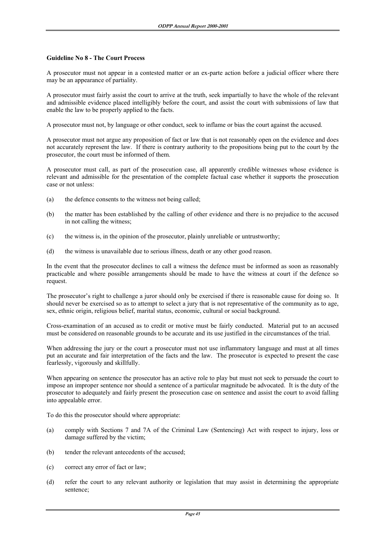#### **Guideline No 8 - The Court Process**

A prosecutor must not appear in a contested matter or an ex-parte action before a judicial officer where there may be an appearance of partiality.

A prosecutor must fairly assist the court to arrive at the truth, seek impartially to have the whole of the relevant and admissible evidence placed intelligibly before the court, and assist the court with submissions of law that enable the law to be properly applied to the facts.

A prosecutor must not, by language or other conduct, seek to inflame or bias the court against the accused.

A prosecutor must not argue any proposition of fact or law that is not reasonably open on the evidence and does not accurately represent the law. If there is contrary authority to the propositions being put to the court by the prosecutor, the court must be informed of them.

A prosecutor must call, as part of the prosecution case, all apparently credible witnesses whose evidence is relevant and admissible for the presentation of the complete factual case whether it supports the prosecution case or not unless:

- (a) the defence consents to the witness not being called;
- (b) the matter has been established by the calling of other evidence and there is no prejudice to the accused in not calling the witness;
- (c) the witness is, in the opinion of the prosecutor, plainly unreliable or untrustworthy;
- (d) the witness is unavailable due to serious illness, death or any other good reason.

In the event that the prosecutor declines to call a witness the defence must be informed as soon as reasonably practicable and where possible arrangements should be made to have the witness at court if the defence so request.

The prosecutor's right to challenge a juror should only be exercised if there is reasonable cause for doing so. It should never be exercised so as to attempt to select a jury that is not representative of the community as to age, sex, ethnic origin, religious belief, marital status, economic, cultural or social background.

Cross-examination of an accused as to credit or motive must be fairly conducted. Material put to an accused must be considered on reasonable grounds to be accurate and its use justified in the circumstances of the trial.

When addressing the jury or the court a prosecutor must not use inflammatory language and must at all times put an accurate and fair interpretation of the facts and the law. The prosecutor is expected to present the case fearlessly, vigorously and skillfully.

When appearing on sentence the prosecutor has an active role to play but must not seek to persuade the court to impose an improper sentence nor should a sentence of a particular magnitude be advocated. It is the duty of the prosecutor to adequately and fairly present the prosecution case on sentence and assist the court to avoid falling into appealable error.

To do this the prosecutor should where appropriate:

- (a) comply with Sections 7 and 7A of the Criminal Law (Sentencing) Act with respect to injury, loss or damage suffered by the victim;
- (b) tender the relevant antecedents of the accused;
- (c) correct any error of fact or law;
- (d) refer the court to any relevant authority or legislation that may assist in determining the appropriate sentence;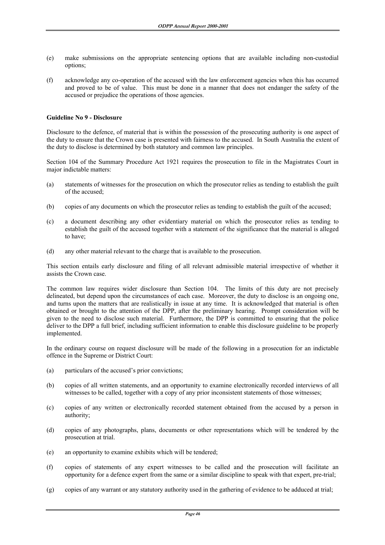- (e) make submissions on the appropriate sentencing options that are available including non-custodial options;
- (f) acknowledge any co-operation of the accused with the law enforcement agencies when this has occurred and proved to be of value. This must be done in a manner that does not endanger the safety of the accused or prejudice the operations of those agencies.

#### **Guideline No 9 - Disclosure**

Disclosure to the defence, of material that is within the possession of the prosecuting authority is one aspect of the duty to ensure that the Crown case is presented with fairness to the accused. In South Australia the extent of the duty to disclose is determined by both statutory and common law principles.

Section 104 of the Summary Procedure Act 1921 requires the prosecution to file in the Magistrates Court in major indictable matters:

- (a) statements of witnesses for the prosecution on which the prosecutor relies as tending to establish the guilt of the accused;
- (b) copies of any documents on which the prosecutor relies as tending to establish the guilt of the accused;
- (c) a document describing any other evidentiary material on which the prosecutor relies as tending to establish the guilt of the accused together with a statement of the significance that the material is alleged to have;
- (d) any other material relevant to the charge that is available to the prosecution.

This section entails early disclosure and filing of all relevant admissible material irrespective of whether it assists the Crown case.

The common law requires wider disclosure than Section 104. The limits of this duty are not precisely delineated, but depend upon the circumstances of each case. Moreover, the duty to disclose is an ongoing one, and turns upon the matters that are realistically in issue at any time. It is acknowledged that material is often obtained or brought to the attention of the DPP, after the preliminary hearing. Prompt consideration will be given to the need to disclose such material. Furthermore, the DPP is committed to ensuring that the police deliver to the DPP a full brief, including sufficient information to enable this disclosure guideline to be properly implemented.

In the ordinary course on request disclosure will be made of the following in a prosecution for an indictable offence in the Supreme or District Court:

- (a) particulars of the accused's prior convictions;
- (b) copies of all written statements, and an opportunity to examine electronically recorded interviews of all witnesses to be called, together with a copy of any prior inconsistent statements of those witnesses;
- (c) copies of any written or electronically recorded statement obtained from the accused by a person in authority;
- (d) copies of any photographs, plans, documents or other representations which will be tendered by the prosecution at trial.
- (e) an opportunity to examine exhibits which will be tendered;
- (f) copies of statements of any expert witnesses to be called and the prosecution will facilitate an opportunity for a defence expert from the same or a similar discipline to speak with that expert, pre-trial;
- (g) copies of any warrant or any statutory authority used in the gathering of evidence to be adduced at trial;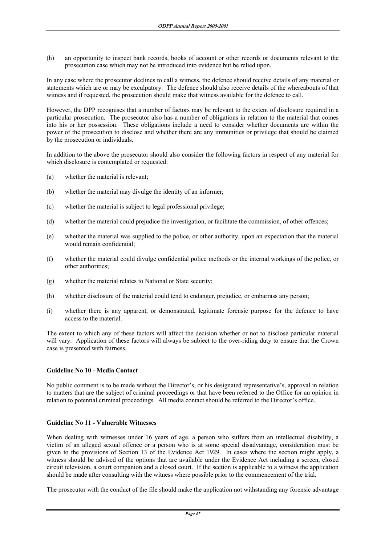(h) an opportunity to inspect bank records, books of account or other records or documents relevant to the prosecution case which may not be introduced into evidence but be relied upon.

In any case where the prosecutor declines to call a witness, the defence should receive details of any material or statements which are or may be exculpatory. The defence should also receive details of the whereabouts of that witness and if requested, the prosecution should make that witness available for the defence to call.

However, the DPP recognises that a number of factors may be relevant to the extent of disclosure required in a particular prosecution. The prosecutor also has a number of obligations in relation to the material that comes into his or her possession. These obligations include a need to consider whether documents are within the power of the prosecution to disclose and whether there are any immunities or privilege that should be claimed by the prosecution or individuals.

In addition to the above the prosecutor should also consider the following factors in respect of any material for which disclosure is contemplated or requested:

- (a) whether the material is relevant;
- (b) whether the material may divulge the identity of an informer;
- (c) whether the material is subject to legal professional privilege;
- (d) whether the material could prejudice the investigation, or facilitate the commission, of other offences;
- (e) whether the material was supplied to the police, or other authority, upon an expectation that the material would remain confidential;
- (f) whether the material could divulge confidential police methods or the internal workings of the police, or other authorities;
- (g) whether the material relates to National or State security;
- (h) whether disclosure of the material could tend to endanger, prejudice, or embarrass any person;
- (i) whether there is any apparent, or demonstrated, legitimate forensic purpose for the defence to have access to the material.

The extent to which any of these factors will affect the decision whether or not to disclose particular material will vary. Application of these factors will always be subject to the over-riding duty to ensure that the Crown case is presented with fairness.

#### **Guideline No 10 - Media Contact**

No public comment is to be made without the Director's, or his designated representative's, approval in relation to matters that are the subject of criminal proceedings or that have been referred to the Office for an opinion in relation to potential criminal proceedings. All media contact should be referred to the Director's office.

# **Guideline No 11 - Vulnerable Witnesses**

When dealing with witnesses under 16 years of age, a person who suffers from an intellectual disability, a victim of an alleged sexual offence or a person who is at some special disadvantage, consideration must be given to the provisions of Section 13 of the Evidence Act 1929. In cases where the section might apply, a witness should be advised of the options that are available under the Evidence Act including a screen, closed circuit television, a court companion and a closed court. If the section is applicable to a witness the application should be made after consulting with the witness where possible prior to the commencement of the trial.

The prosecutor with the conduct of the file should make the application not withstanding any forensic advantage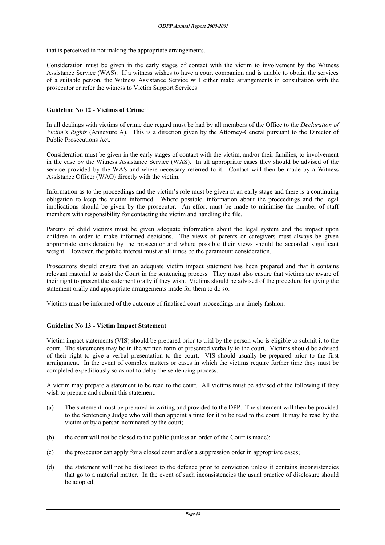that is perceived in not making the appropriate arrangements.

Consideration must be given in the early stages of contact with the victim to involvement by the Witness Assistance Service (WAS). If a witness wishes to have a court companion and is unable to obtain the services of a suitable person, the Witness Assistance Service will either make arrangements in consultation with the prosecutor or refer the witness to Victim Support Services.

#### **Guideline No 12 - Victims of Crime**

In all dealings with victims of crime due regard must be had by all members of the Office to the *Declaration of Victim's Rights* (Annexure A). This is a direction given by the Attorney-General pursuant to the Director of Public Prosecutions Act.

Consideration must be given in the early stages of contact with the victim, and/or their families, to involvement in the case by the Witness Assistance Service (WAS). In all appropriate cases they should be advised of the service provided by the WAS and where necessary referred to it. Contact will then be made by a Witness Assistance Officer (WAO) directly with the victim.

Information as to the proceedings and the victim's role must be given at an early stage and there is a continuing obligation to keep the victim informed. Where possible, information about the proceedings and the legal implications should be given by the prosecutor. An effort must be made to minimise the number of staff members with responsibility for contacting the victim and handling the file.

Parents of child victims must be given adequate information about the legal system and the impact upon children in order to make informed decisions. The views of parents or caregivers must always be given appropriate consideration by the prosecutor and where possible their views should be accorded significant weight. However, the public interest must at all times be the paramount consideration.

Prosecutors should ensure that an adequate victim impact statement has been prepared and that it contains relevant material to assist the Court in the sentencing process. They must also ensure that victims are aware of their right to present the statement orally if they wish. Victims should be advised of the procedure for giving the statement orally and appropriate arrangements made for them to do so.

Victims must be informed of the outcome of finalised court proceedings in a timely fashion.

#### **Guideline No 13 - Victim Impact Statement**

Victim impact statements (VIS) should be prepared prior to trial by the person who is eligible to submit it to the court. The statements may be in the written form or presented verbally to the court. Victims should be advised of their right to give a verbal presentation to the court. VIS should usually be prepared prior to the first arraignment. In the event of complex matters or cases in which the victims require further time they must be completed expeditiously so as not to delay the sentencing process.

A victim may prepare a statement to be read to the court. All victims must be advised of the following if they wish to prepare and submit this statement:

- (a) The statement must be prepared in writing and provided to the DPP. The statement will then be provided to the Sentencing Judge who will then appoint a time for it to be read to the court It may be read by the victim or by a person nominated by the court;
- (b) the court will not be closed to the public (unless an order of the Court is made);
- (c) the prosecutor can apply for a closed court and/or a suppression order in appropriate cases;
- (d) the statement will not be disclosed to the defence prior to conviction unless it contains inconsistencies that go to a material matter. In the event of such inconsistencies the usual practice of disclosure should be adopted;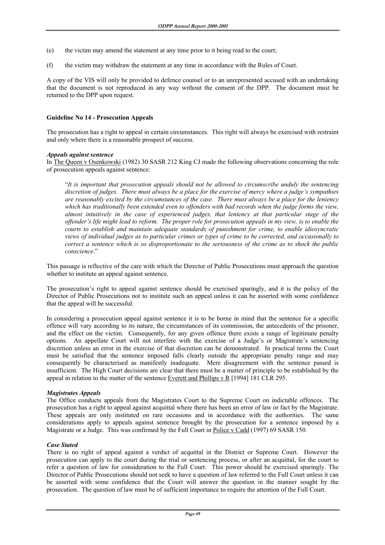- (e) the victim may amend the statement at any time prior to it being read to the court;
- (f) the victim may withdraw the statement at any time in accordance with the Rules of Court.

A copy of the VIS will only be provided to defence counsel or to an unrepresented accused with an undertaking that the document is not reproduced in any way without the consent of the DPP. The document must be returned to the DPP upon request.

#### **Guideline No 14 - Prosecution Appeals**

The prosecution has a right to appeal in certain circumstances. This right will always be exercised with restraint and only where there is a reasonable prospect of success.

#### *Appeals against sentence*

In The Queen v Osenkowski (1982) 30 SASR 212 King CJ made the following observations concerning the role of prosecution appeals against sentence:

 "*It is important that prosecution appeals should not be allowed to circumscribe unduly the sentencing discretion of judges. There must always be a place for the exercise of mercy where a judge's sympathies are reasonably excited by the circumstances of the case. There must always be a place for the leniency which has traditionally been extended even to offenders with bad records when the judge forms the view, almost intuitively in the case of experienced judges, that leniency at that particular stage of the offender's life might lead to reform. The proper role for prosecution appeals in my view, is to enable the courts to establish and maintain adequate standards of punishment for crime, to enable idiosyncratic views of individual judges as to particular crimes or types of crime to be corrected, and occasionally to correct a sentence which is so disproportionate to the seriousness of the crime as to shock the public conscience*."

This passage is reflective of the care with which the Director of Public Prosecutions must approach the question whether to institute an appeal against sentence.

The prosecution's right to appeal against sentence should be exercised sparingly, and it is the policy of the Director of Public Prosecutions not to institute such an appeal unless it can be asserted with some confidence that the appeal will be successful.

In considering a prosecution appeal against sentence it is to be borne in mind that the sentence for a specific offence will vary according to its nature, the circumstances of its commission, the antecedents of the prisoner, and the effect on the victim. Consequently, for any given offence there exists a range of legitimate penalty options. An appellate Court will not interfere with the exercise of a Judge's or Magistrate's sentencing discretion unless an error in the exercise of that discretion can be demonstrated. In practical terms the Court must be satisfied that the sentence imposed falls clearly outside the appropriate penalty range and may consequently be characterised as manifestly inadequate. Mere disagreement with the sentence passed is insufficient. The High Court decisions are clear that there must be a matter of principle to be established by the appeal in relation to the matter of the sentence Everett and Phillips v R [1994] 181 CLR 295.

#### *Magistrates Appeals*

The Office conducts appeals from the Magistrates Court to the Supreme Court on indictable offences. The prosecution has a right to appeal against acquittal where there has been an error of law or fact by the Magistrate. These appeals are only instituted on rare occasions and in accordance with the authorities. The same considerations apply to appeals against sentence brought by the prosecution for a sentence imposed by a Magistrate or a Judge. This was confirmed by the Full Court in Police v Cadd (1997) 69 SASR 150.

#### *Case Stated*

There is no right of appeal against a verdict of acquittal in the District or Supreme Court. However the prosecution can apply to the court during the trial or sentencing process, or after an acquittal, for the court to refer a question of law for consideration to the Full Court. This power should be exercised sparingly. The Director of Public Prosecutions should not seek to have a question of law referred to the Full Court unless it can be asserted with some confidence that the Court will answer the question in the manner sought by the prosecution. The question of law must be of sufficient importance to require the attention of the Full Court.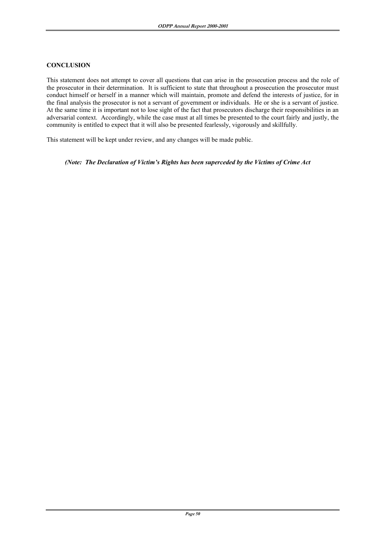#### **CONCLUSION**

This statement does not attempt to cover all questions that can arise in the prosecution process and the role of the prosecutor in their determination. It is sufficient to state that throughout a prosecution the prosecutor must conduct himself or herself in a manner which will maintain, promote and defend the interests of justice, for in the final analysis the prosecutor is not a servant of government or individuals. He or she is a servant of justice. At the same time it is important not to lose sight of the fact that prosecutors discharge their responsibilities in an adversarial context. Accordingly, while the case must at all times be presented to the court fairly and justly, the community is entitled to expect that it will also be presented fearlessly, vigorously and skillfully.

This statement will be kept under review, and any changes will be made public.

 *(Note: The Declaration of Victim's Rights has been superceded by the Victims of Crime Act*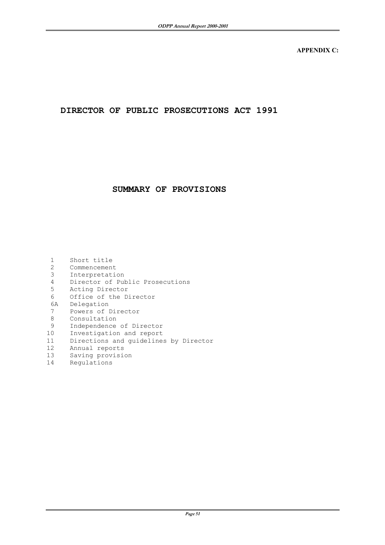**APPENDIX C:** 

# **DIRECTOR OF PUBLIC PROSECUTIONS ACT 1991**

# **SUMMARY OF PROVISIONS**

| 1<br>2            | Short title<br>Commencement           |
|-------------------|---------------------------------------|
| 3                 | Interpretation                        |
| 4                 | Director of Public Prosecutions       |
| 5                 | Acting Director                       |
| 6                 | Office of the Director                |
| 6A                | Delegation                            |
| 7                 | Powers of Director                    |
| 8                 | Consultation                          |
| 9                 | Independence of Director              |
| 10                | Investigation and report              |
| 11                | Directions and quidelines by Director |
| $12 \overline{ }$ | Annual reports                        |
| 13                | Saving provision                      |
| 14                | Regulations                           |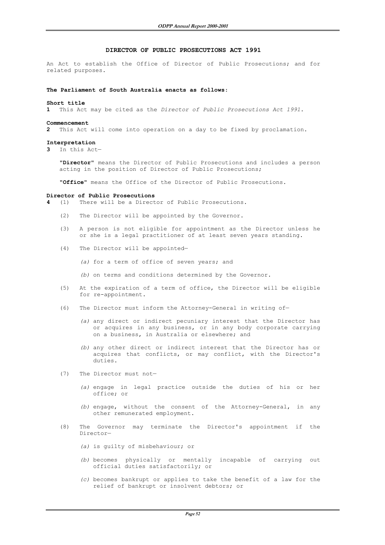#### **DIRECTOR OF PUBLIC PROSECUTIONS ACT 1991**

An Act to establish the Office of Director of Public Prosecutions; and for related purposes.

#### **The Parliament of South Australia enacts as follows**:

#### **Short title**

**1** This Act may be cited as the *Director of Public Prosecutions Act 1991*.

#### **Commencement**

**2** This Act will come into operation on a day to be fixed by proclamation.

#### **Interpretation**

**3** In this Act—

 "**Director**" means the Director of Public Prosecutions and includes a person acting in the position of Director of Public Prosecutions;

"**Office**" means the Office of the Director of Public Prosecutions.

#### **Director of Public Prosecutions**

**4** (1) There will be a Director of Public Prosecutions.

- (2) The Director will be appointed by the Governor.
- (3) A person is not eligible for appointment as the Director unless he or she is a legal practitioner of at least seven years standing.
- (4) The Director will be appointed—

 *(a)* for a term of office of seven years; and

- *(b)* on terms and conditions determined by the Governor.
- (5) At the expiration of a term of office, the Director will be eligible for re-appointment.
- (6) The Director must inform the Attorney-General in writing of—
	- *(a)* any direct or indirect pecuniary interest that the Director has or acquires in any business, or in any body corporate carrying on a business, in Australia or elsewhere; and
	- *(b)* any other direct or indirect interest that the Director has or acquires that conflicts, or may conflict, with the Director's duties.
- (7) The Director must not—
	- *(a)* engage in legal practice outside the duties of his or her office; or
	- *(b)* engage, without the consent of the Attorney-General, in any other remunerated employment.
- (8) The Governor may terminate the Director's appointment if the Director—
	- *(a)* is guilty of misbehaviour; or
	- *(b)* becomes physically or mentally incapable of carrying out official duties satisfactorily; or
	- *(c)* becomes bankrupt or applies to take the benefit of a law for the relief of bankrupt or insolvent debtors; or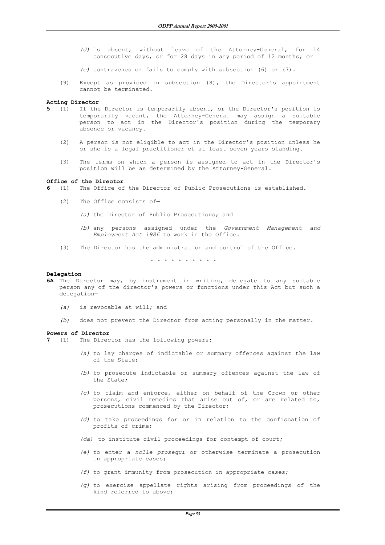*(d)* is absent, without leave of the Attorney-General, for 14 consecutive days, or for 28 days in any period of 12 months; or

 *(e)* contravenes or fails to comply with subsection (6) or (7).

 (9) Except as provided in subsection (8), the Director's appointment cannot be terminated.

#### **Acting Director**

- **5** (1) If the Director is temporarily absent, or the Director's position is temporarily vacant, the Attorney-General may assign a suitable person to act in the Director's position during the temporary absence or vacancy.
	- (2) A person is not eligible to act in the Director's position unless he or she is a legal practitioner of at least seven years standing.
	- (3) The terms on which a person is assigned to act in the Director's position will be as determined by the Attorney-General.

#### **Office of the Director**

- **6** (1) The Office of the Director of Public Prosecutions is established.
	- (2) The Office consists of—
		- *(a)* the Director of Public Prosecutions; and
		- *(b)* any persons assigned under the *Government Management and Employment Act 1986* to work in the Office.
	- (3) The Director has the administration and control of the Office.

\* \* \* \* \* \* \* \* \* \*

#### **Delegation**

- **6A** The Director may, by instrument in writing, delegate to any suitable person any of the director's powers or functions under this Act but such a delegation—
	- *(a)* is revocable at will; and
	- *(b)* does not prevent the Director from acting personally in the matter.

#### **Powers of Director**

- **7** (1) The Director has the following powers:
	- *(a)* to lay charges of indictable or summary offences against the law  $of the *State*$
	- *(b)* to prosecute indictable or summary offences against the law of the State;
	- *(c)* to claim and enforce, either on behalf of the Crown or other persons, civil remedies that arise out of, or are related to, prosecutions commenced by the Director;
	- *(d)* to take proceedings for or in relation to the confiscation of profits of crime;
	- *(da)* to institute civil proceedings for contempt of court;
	- *(e)* to enter a *nolle prosequi* or otherwise terminate a prosecution in appropriate cases;
	- *(f)* to grant immunity from prosecution in appropriate cases;
	- *(g)* to exercise appellate rights arising from proceedings of the kind referred to above;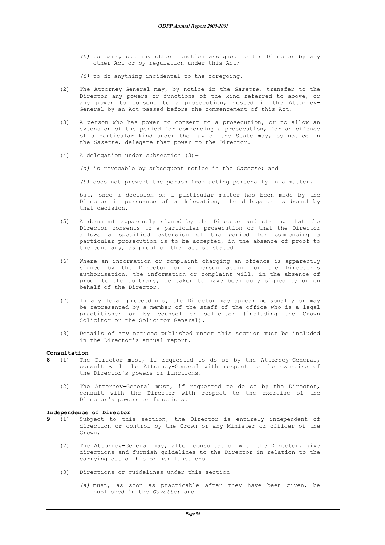- *(h)* to carry out any other function assigned to the Director by any other Act or by regulation under this Act;
- *(i)* to do anything incidental to the foregoing.
- (2) The Attorney-General may, by notice in the *Gazette*, transfer to the Director any powers or functions of the kind referred to above, or any power to consent to a prosecution, vested in the Attorney-General by an Act passed before the commencement of this Act.
- (3) A person who has power to consent to a prosecution, or to allow an extension of the period for commencing a prosecution, for an offence of a particular kind under the law of the State may, by notice in the *Gazette*, delegate that power to the Director.
- (4) A delegation under subsection  $(3)$ -

 *(a)* is revocable by subsequent notice in the *Gazette*; and

 *(b)* does not prevent the person from acting personally in a matter,

 but, once a decision on a particular matter has been made by the Director in pursuance of a delegation, the delegator is bound by that decision.

- (5) A document apparently signed by the Director and stating that the Director consents to a particular prosecution or that the Director allows a specified extension of the period for commencing a particular prosecution is to be accepted, in the absence of proof to the contrary, as proof of the fact so stated.
- (6) Where an information or complaint charging an offence is apparently signed by the Director or a person acting on the Director's authorisation, the information or complaint will, in the absence of proof to the contrary, be taken to have been duly signed by or on behalf of the Director.
- (7) In any legal proceedings, the Director may appear personally or may be represented by a member of the staff of the office who is a legal practitioner or by counsel or solicitor (including the Crown Solicitor or the Solicitor-General).
- (8) Details of any notices published under this section must be included in the Director's annual report.

#### **Consultation**

- **8** (1) The Director must, if requested to do so by the Attorney-General, consult with the Attorney-General with respect to the exercise of the Director's powers or functions.
	- (2) The Attorney-General must, if requested to do so by the Director, consult with the Director with respect to the exercise of the Director's powers or functions.

- **Independence of Director** Subject to this section, the Director is entirely independent of direction or control by the Crown or any Minister or officer of the Crown.
	- (2) The Attorney-General may, after consultation with the Director, give directions and furnish guidelines to the Director in relation to the carrying out of his or her functions.
	- (3) Directions or guidelines under this section—
		- *(a)* must, as soon as practicable after they have been given, be published in the *Gazette*; and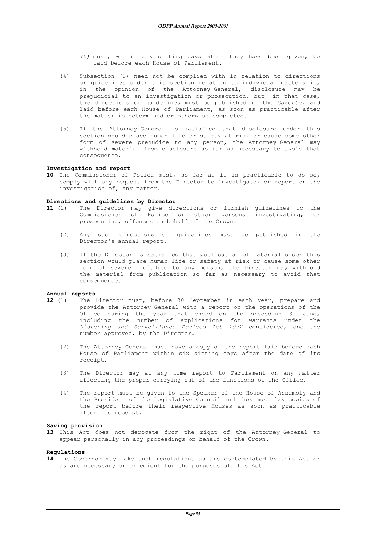- *(b)* must, within six sitting days after they have been given, be laid before each House of Parliament.
- (4) Subsection (3) need not be complied with in relation to directions or guidelines under this section relating to individual matters if, in the opinion of the Attorney-General, disclosure may be prejudicial to an investigation or prosecution, but, in that case, the directions or guidelines must be published in the *Gazette*, and laid before each House of Parliament, as soon as practicable after the matter is determined or otherwise completed.
- (5) If the Attorney-General is satisfied that disclosure under this section would place human life or safety at risk or cause some other form of severe prejudice to any person, the Attorney-General may withhold material from disclosure so far as necessary to avoid that consequence.

#### **Investigation and report**

**10** The Commissioner of Police must, so far as it is practicable to do so, comply with any request from the Director to investigate, or report on the investigation of, any matter.

#### **Directions and guidelines by Director**

- **11** (1) The Director may give directions or furnish guidelines to the Commissioner of Police or other persons investigating, or prosecuting, offences on behalf of the Crown.
	- (2) Any such directions or guidelines must be published in the Director's annual report.
	- (3) If the Director is satisfied that publication of material under this section would place human life or safety at risk or cause some other form of severe prejudice to any person, the Director may withhold the material from publication so far as necessary to avoid that consequence.

#### **Annual reports**

- **12** (1) The Director must, before 30 September in each year, prepare and provide the Attorney-General with a report on the operations of the Office during the year that ended on the preceding 30 June, including the number of applications for warrants under the *Listening and Surveillance Devices Act 1972* considered, and the number approved, by the Director.
	- (2) The Attorney-General must have a copy of the report laid before each House of Parliament within six sitting days after the date of its receipt.
	- (3) The Director may at any time report to Parliament on any matter affecting the proper carrying out of the functions of the Office.
	- (4) The report must be given to the Speaker of the House of Assembly and the President of the Legislative Council and they must lay copies of the report before their respective Houses as soon as practicable after its receipt.

#### **Saving provision**

**13** This Act does not derogate from the right of the Attorney-General to appear personally in any proceedings on behalf of the Crown.

#### **Regulations**

**14** The Governor may make such regulations as are contemplated by this Act or as are necessary or expedient for the purposes of this Act.